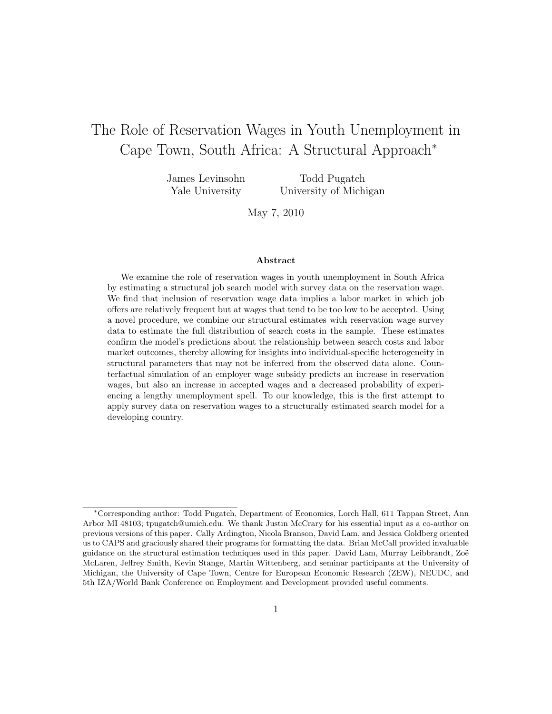# The Role of Reservation Wages in Youth Unemployment in Cape Town, South Africa: A Structural Approach<sup>∗</sup>

James Levinsohn Yale University

Todd Pugatch University of Michigan

May 7, 2010

#### Abstract

We examine the role of reservation wages in youth unemployment in South Africa by estimating a structural job search model with survey data on the reservation wage. We find that inclusion of reservation wage data implies a labor market in which job offers are relatively frequent but at wages that tend to be too low to be accepted. Using a novel procedure, we combine our structural estimates with reservation wage survey data to estimate the full distribution of search costs in the sample. These estimates confirm the model's predictions about the relationship between search costs and labor market outcomes, thereby allowing for insights into individual-specific heterogeneity in structural parameters that may not be inferred from the observed data alone. Counterfactual simulation of an employer wage subsidy predicts an increase in reservation wages, but also an increase in accepted wages and a decreased probability of experiencing a lengthy unemployment spell. To our knowledge, this is the first attempt to apply survey data on reservation wages to a structurally estimated search model for a developing country.

<sup>∗</sup>Corresponding author: Todd Pugatch, Department of Economics, Lorch Hall, 611 Tappan Street, Ann Arbor MI 48103; tpugatch@umich.edu. We thank Justin McCrary for his essential input as a co-author on previous versions of this paper. Cally Ardington, Nicola Branson, David Lam, and Jessica Goldberg oriented us to CAPS and graciously shared their programs for formatting the data. Brian McCall provided invaluable guidance on the structural estimation techniques used in this paper. David Lam, Murray Leibbrandt, Zoë McLaren, Jeffrey Smith, Kevin Stange, Martin Wittenberg, and seminar participants at the University of Michigan, the University of Cape Town, Centre for European Economic Research (ZEW), NEUDC, and 5th IZA/World Bank Conference on Employment and Development provided useful comments.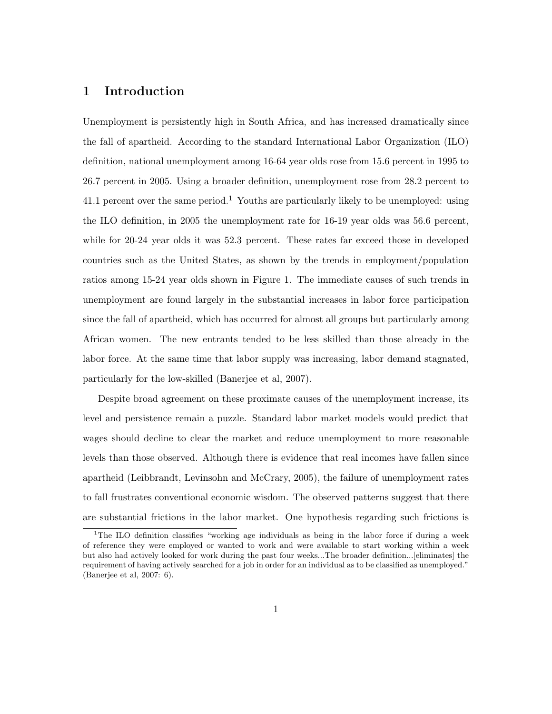### 1 Introduction

Unemployment is persistently high in South Africa, and has increased dramatically since the fall of apartheid. According to the standard International Labor Organization (ILO) definition, national unemployment among 16-64 year olds rose from 15.6 percent in 1995 to 26.7 percent in 2005. Using a broader definition, unemployment rose from 28.2 percent to 41.1 percent over the same period.<sup>1</sup> Youths are particularly likely to be unemployed: using the ILO definition, in 2005 the unemployment rate for 16-19 year olds was 56.6 percent, while for 20-24 year olds it was 52.3 percent. These rates far exceed those in developed countries such as the United States, as shown by the trends in employment/population ratios among 15-24 year olds shown in Figure 1. The immediate causes of such trends in unemployment are found largely in the substantial increases in labor force participation since the fall of apartheid, which has occurred for almost all groups but particularly among African women. The new entrants tended to be less skilled than those already in the labor force. At the same time that labor supply was increasing, labor demand stagnated, particularly for the low-skilled (Banerjee et al, 2007).

Despite broad agreement on these proximate causes of the unemployment increase, its level and persistence remain a puzzle. Standard labor market models would predict that wages should decline to clear the market and reduce unemployment to more reasonable levels than those observed. Although there is evidence that real incomes have fallen since apartheid (Leibbrandt, Levinsohn and McCrary, 2005), the failure of unemployment rates to fall frustrates conventional economic wisdom. The observed patterns suggest that there are substantial frictions in the labor market. One hypothesis regarding such frictions is

<sup>&</sup>lt;sup>1</sup>The ILO definition classifies "working age individuals as being in the labor force if during a week of reference they were employed or wanted to work and were available to start working within a week but also had actively looked for work during the past four weeks...The broader definition...[eliminates] the requirement of having actively searched for a job in order for an individual as to be classified as unemployed." (Banerjee et al, 2007: 6).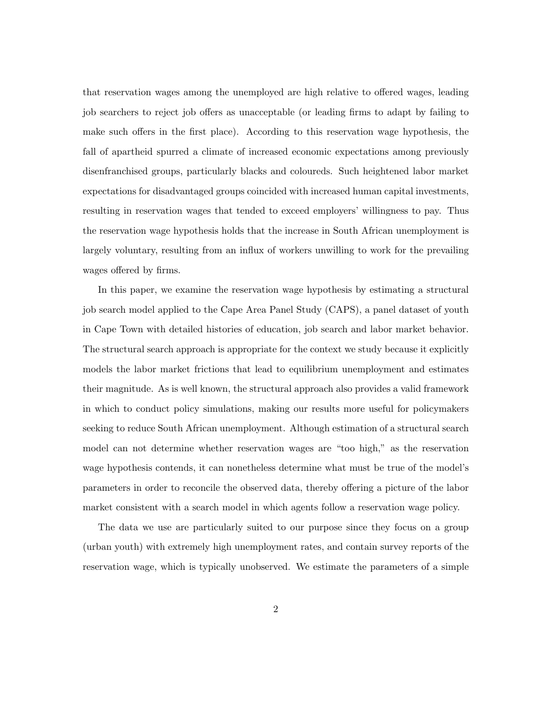that reservation wages among the unemployed are high relative to offered wages, leading job searchers to reject job offers as unacceptable (or leading firms to adapt by failing to make such offers in the first place). According to this reservation wage hypothesis, the fall of apartheid spurred a climate of increased economic expectations among previously disenfranchised groups, particularly blacks and coloureds. Such heightened labor market expectations for disadvantaged groups coincided with increased human capital investments, resulting in reservation wages that tended to exceed employers' willingness to pay. Thus the reservation wage hypothesis holds that the increase in South African unemployment is largely voluntary, resulting from an influx of workers unwilling to work for the prevailing wages offered by firms.

In this paper, we examine the reservation wage hypothesis by estimating a structural job search model applied to the Cape Area Panel Study (CAPS), a panel dataset of youth in Cape Town with detailed histories of education, job search and labor market behavior. The structural search approach is appropriate for the context we study because it explicitly models the labor market frictions that lead to equilibrium unemployment and estimates their magnitude. As is well known, the structural approach also provides a valid framework in which to conduct policy simulations, making our results more useful for policymakers seeking to reduce South African unemployment. Although estimation of a structural search model can not determine whether reservation wages are "too high," as the reservation wage hypothesis contends, it can nonetheless determine what must be true of the model's parameters in order to reconcile the observed data, thereby offering a picture of the labor market consistent with a search model in which agents follow a reservation wage policy.

The data we use are particularly suited to our purpose since they focus on a group (urban youth) with extremely high unemployment rates, and contain survey reports of the reservation wage, which is typically unobserved. We estimate the parameters of a simple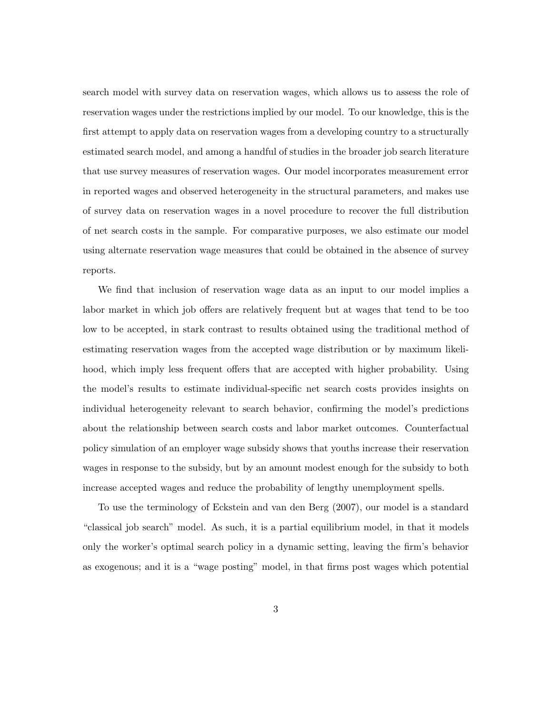search model with survey data on reservation wages, which allows us to assess the role of reservation wages under the restrictions implied by our model. To our knowledge, this is the first attempt to apply data on reservation wages from a developing country to a structurally estimated search model, and among a handful of studies in the broader job search literature that use survey measures of reservation wages. Our model incorporates measurement error in reported wages and observed heterogeneity in the structural parameters, and makes use of survey data on reservation wages in a novel procedure to recover the full distribution of net search costs in the sample. For comparative purposes, we also estimate our model using alternate reservation wage measures that could be obtained in the absence of survey reports.

We find that inclusion of reservation wage data as an input to our model implies a labor market in which job offers are relatively frequent but at wages that tend to be too low to be accepted, in stark contrast to results obtained using the traditional method of estimating reservation wages from the accepted wage distribution or by maximum likelihood, which imply less frequent offers that are accepted with higher probability. Using the model's results to estimate individual-specific net search costs provides insights on individual heterogeneity relevant to search behavior, confirming the model's predictions about the relationship between search costs and labor market outcomes. Counterfactual policy simulation of an employer wage subsidy shows that youths increase their reservation wages in response to the subsidy, but by an amount modest enough for the subsidy to both increase accepted wages and reduce the probability of lengthy unemployment spells.

To use the terminology of Eckstein and van den Berg (2007), our model is a standard "classical job search" model. As such, it is a partial equilibrium model, in that it models only the worker's optimal search policy in a dynamic setting, leaving the firm's behavior as exogenous; and it is a "wage posting" model, in that firms post wages which potential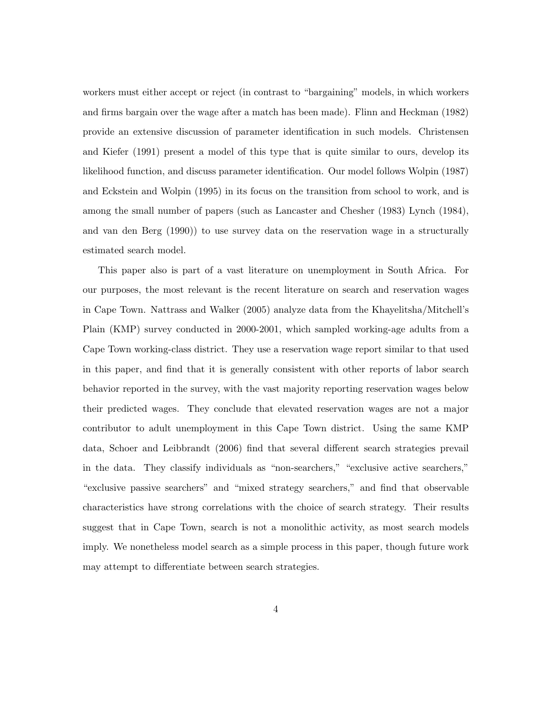workers must either accept or reject (in contrast to "bargaining" models, in which workers and firms bargain over the wage after a match has been made). Flinn and Heckman (1982) provide an extensive discussion of parameter identification in such models. Christensen and Kiefer (1991) present a model of this type that is quite similar to ours, develop its likelihood function, and discuss parameter identification. Our model follows Wolpin (1987) and Eckstein and Wolpin (1995) in its focus on the transition from school to work, and is among the small number of papers (such as Lancaster and Chesher (1983) Lynch (1984), and van den Berg (1990)) to use survey data on the reservation wage in a structurally estimated search model.

This paper also is part of a vast literature on unemployment in South Africa. For our purposes, the most relevant is the recent literature on search and reservation wages in Cape Town. Nattrass and Walker (2005) analyze data from the Khayelitsha/Mitchell's Plain (KMP) survey conducted in 2000-2001, which sampled working-age adults from a Cape Town working-class district. They use a reservation wage report similar to that used in this paper, and find that it is generally consistent with other reports of labor search behavior reported in the survey, with the vast majority reporting reservation wages below their predicted wages. They conclude that elevated reservation wages are not a major contributor to adult unemployment in this Cape Town district. Using the same KMP data, Schoer and Leibbrandt (2006) find that several different search strategies prevail in the data. They classify individuals as "non-searchers," "exclusive active searchers," "exclusive passive searchers" and "mixed strategy searchers," and find that observable characteristics have strong correlations with the choice of search strategy. Their results suggest that in Cape Town, search is not a monolithic activity, as most search models imply. We nonetheless model search as a simple process in this paper, though future work may attempt to differentiate between search strategies.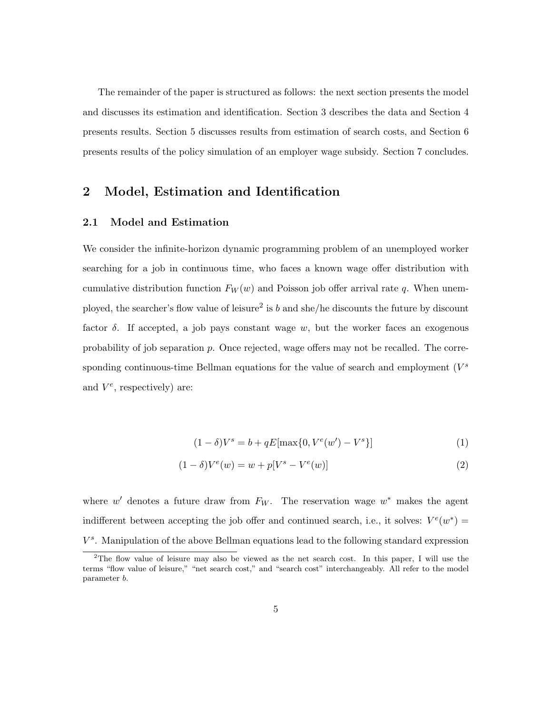The remainder of the paper is structured as follows: the next section presents the model and discusses its estimation and identification. Section 3 describes the data and Section 4 presents results. Section 5 discusses results from estimation of search costs, and Section 6 presents results of the policy simulation of an employer wage subsidy. Section 7 concludes.

### 2 Model, Estimation and Identification

### 2.1 Model and Estimation

We consider the infinite-horizon dynamic programming problem of an unemployed worker searching for a job in continuous time, who faces a known wage offer distribution with cumulative distribution function  $F_W(w)$  and Poisson job offer arrival rate q. When unemployed, the searcher's flow value of leisure<sup>2</sup> is b and she/he discounts the future by discount factor  $\delta$ . If accepted, a job pays constant wage w, but the worker faces an exogenous probability of job separation p. Once rejected, wage offers may not be recalled. The corresponding continuous-time Bellman equations for the value of search and employment  $(V^s)$ and  $V^e$ , respectively) are:

$$
(1 - \delta)V^{s} = b + qE[\max\{0, V^{e}(w') - V^{s}\}]
$$
\n(1)

$$
(1 - \delta)V^{e}(w) = w + p[V^{s} - V^{e}(w)]
$$
\n(2)

where  $w'$  denotes a future draw from  $F_W$ . The reservation wage  $w^*$  makes the agent indifferent between accepting the job offer and continued search, i.e., it solves:  $V^e(w^*)$  =  $V^s$ . Manipulation of the above Bellman equations lead to the following standard expression

<sup>&</sup>lt;sup>2</sup>The flow value of leisure may also be viewed as the net search cost. In this paper, I will use the terms "flow value of leisure," "net search cost," and "search cost" interchangeably. All refer to the model parameter b.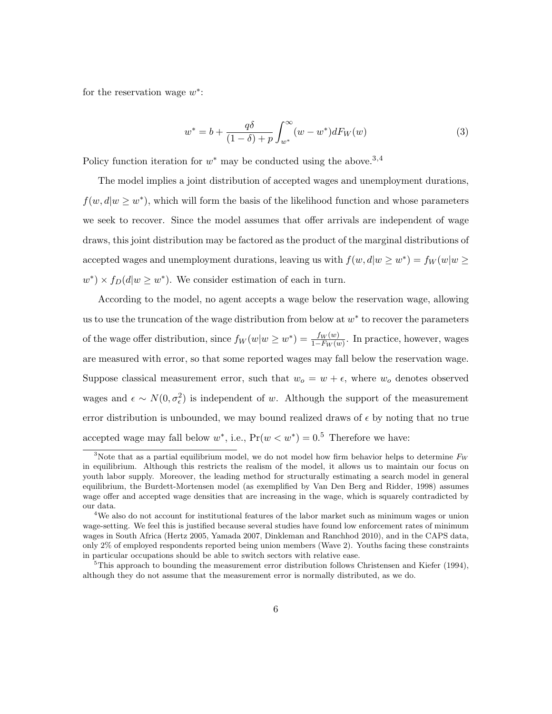for the reservation wage  $w^*$ :

$$
w^* = b + \frac{q\delta}{(1-\delta) + p} \int_{w^*}^{\infty} (w - w^*) dF_W(w)
$$
 (3)

Policy function iteration for  $w^*$  may be conducted using the above.<sup>3,4</sup>

The model implies a joint distribution of accepted wages and unemployment durations,  $f(w, d|w \geq w^*)$ , which will form the basis of the likelihood function and whose parameters we seek to recover. Since the model assumes that offer arrivals are independent of wage draws, this joint distribution may be factored as the product of the marginal distributions of accepted wages and unemployment durations, leaving us with  $f(w, d|w \geq w^*) = f_W(w|w \geq w^*)$  $w^* \times f_D(d|w \geq w^*)$ . We consider estimation of each in turn.

According to the model, no agent accepts a wage below the reservation wage, allowing us to use the truncation of the wage distribution from below at  $w^*$  to recover the parameters of the wage offer distribution, since  $f_W(w|w \geq w^*) = \frac{f_W(w)}{1 - F_W(w)}$ . In practice, however, wages are measured with error, so that some reported wages may fall below the reservation wage. Suppose classical measurement error, such that  $w<sub>o</sub> = w + \epsilon$ , where  $w<sub>o</sub>$  denotes observed wages and  $\epsilon \sim N(0, \sigma_{\epsilon}^2)$  is independent of w. Although the support of the measurement error distribution is unbounded, we may bound realized draws of  $\epsilon$  by noting that no true accepted wage may fall below  $w^*$ , i.e.,  $Pr(w < w^*) = 0.5$  Therefore we have:

<sup>&</sup>lt;sup>3</sup>Note that as a partial equilibrium model, we do not model how firm behavior helps to determine  $F_W$ in equilibrium. Although this restricts the realism of the model, it allows us to maintain our focus on youth labor supply. Moreover, the leading method for structurally estimating a search model in general equilibrium, the Burdett-Mortensen model (as exemplified by Van Den Berg and Ridder, 1998) assumes wage offer and accepted wage densities that are increasing in the wage, which is squarely contradicted by our data.

<sup>&</sup>lt;sup>4</sup>We also do not account for institutional features of the labor market such as minimum wages or union wage-setting. We feel this is justified because several studies have found low enforcement rates of minimum wages in South Africa (Hertz 2005, Yamada 2007, Dinkleman and Ranchhod 2010), and in the CAPS data, only 2% of employed respondents reported being union members (Wave 2). Youths facing these constraints in particular occupations should be able to switch sectors with relative ease.

 ${}^{5}$ This approach to bounding the measurement error distribution follows Christensen and Kiefer (1994), although they do not assume that the measurement error is normally distributed, as we do.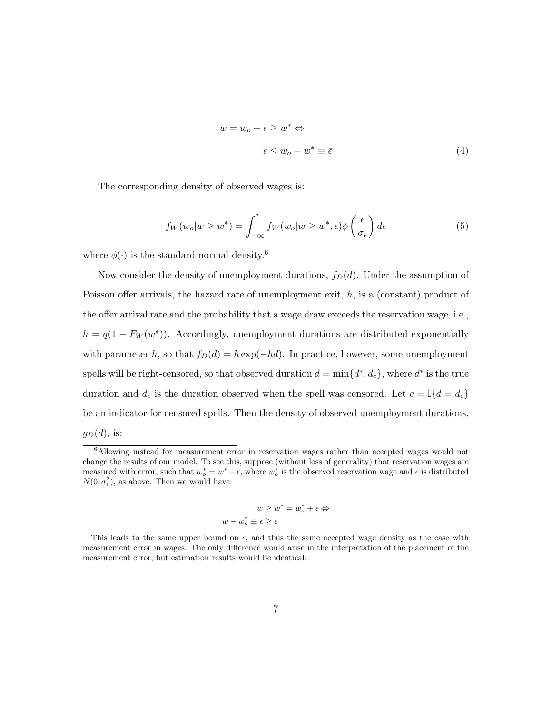$$
w = w_o - \epsilon \ge w^* \Leftrightarrow
$$
  

$$
\epsilon \le w_o - w^* \equiv \bar{\epsilon}
$$
 (4)

The corresponding density of observed wages is:

$$
f_W(w_o|w \ge w^*) = \int_{-\infty}^{\bar{\epsilon}} f_W(w_o|w \ge w^*, \epsilon) \phi\left(\frac{\epsilon}{\sigma_{\epsilon}}\right) d\epsilon \tag{5}
$$

where  $\phi(\cdot)$  is the standard normal density.<sup>6</sup>

Now consider the density of unemployment durations,  $f_D(d)$ . Under the assumption of Poisson offer arrivals, the hazard rate of unemployment exit,  $h$ , is a (constant) product of the offer arrival rate and the probability that a wage draw exceeds the reservation wage, i.e.,  $h = q(1 - F_W(w^*))$ . Accordingly, unemployment durations are distributed exponentially with parameter h, so that  $f_D(d) = h \exp(-hd)$ . In practice, however, some unemployment spells will be right-censored, so that observed duration  $d = \min\{d^*, d_c\}$ , where  $d^*$  is the true duration and  $d_c$  is the duration observed when the spell was censored. Let  $c = \mathbb{I}{d = d_c}$ be an indicator for censored spells. Then the density of observed unemployment durations,  $g_D(d)$ , is:

$$
w \ge w^* = w_o^* + \epsilon \Leftrightarrow
$$
  

$$
w - w_o^* \equiv \bar{\epsilon} \ge \epsilon
$$

<sup>6</sup>Allowing instead for measurement error in reservation wages rather than accepted wages would not change the results of our model. To see this, suppose (without loss of generality) that reservation wages are measured with error, such that  $w_o^* = w^* - \epsilon$ , where  $w_o^*$  is the observed reservation wage and  $\epsilon$  is distributed  $N(0, \sigma_{\epsilon}^2)$ , as above. Then we would have:

This leads to the same upper bound on  $\epsilon$ , and thus the same accepted wage density as the case with measurement error in wages. The only difference would arise in the interpretation of the placement of the measurement error, but estimation results would be identical.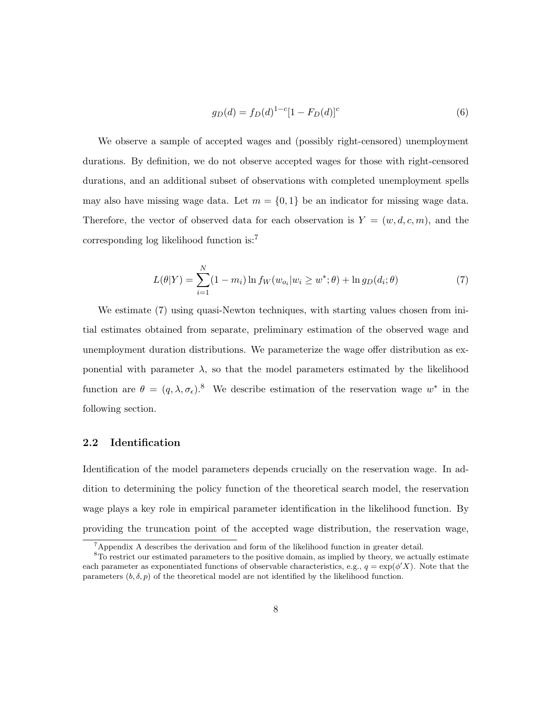$$
g_D(d) = f_D(d)^{1-c} [1 - F_D(d)]^c
$$
\n(6)

We observe a sample of accepted wages and (possibly right-censored) unemployment durations. By definition, we do not observe accepted wages for those with right-censored durations, and an additional subset of observations with completed unemployment spells may also have missing wage data. Let  $m = \{0, 1\}$  be an indicator for missing wage data. Therefore, the vector of observed data for each observation is  $Y = (w, d, c, m)$ , and the corresponding log likelihood function is:<sup>7</sup>

$$
L(\theta|Y) = \sum_{i=1}^{N} (1 - m_i) \ln f_W(w_{o_i}|w_i \ge w^*; \theta) + \ln g_D(d_i; \theta)
$$
 (7)

We estimate (7) using quasi-Newton techniques, with starting values chosen from initial estimates obtained from separate, preliminary estimation of the observed wage and unemployment duration distributions. We parameterize the wage offer distribution as exponential with parameter  $\lambda$ , so that the model parameters estimated by the likelihood function are  $\theta = (q, \lambda, \sigma_{\epsilon})^8$ . We describe estimation of the reservation wage  $w^*$  in the following section.

### 2.2 Identification

Identification of the model parameters depends crucially on the reservation wage. In addition to determining the policy function of the theoretical search model, the reservation wage plays a key role in empirical parameter identification in the likelihood function. By providing the truncation point of the accepted wage distribution, the reservation wage,

<sup>7</sup>Appendix A describes the derivation and form of the likelihood function in greater detail.

<sup>&</sup>lt;sup>8</sup>To restrict our estimated parameters to the positive domain, as implied by theory, we actually estimate each parameter as exponentiated functions of observable characteristics, e.g.,  $q = \exp(\phi' X)$ . Note that the parameters  $(b, \delta, p)$  of the theoretical model are not identified by the likelihood function.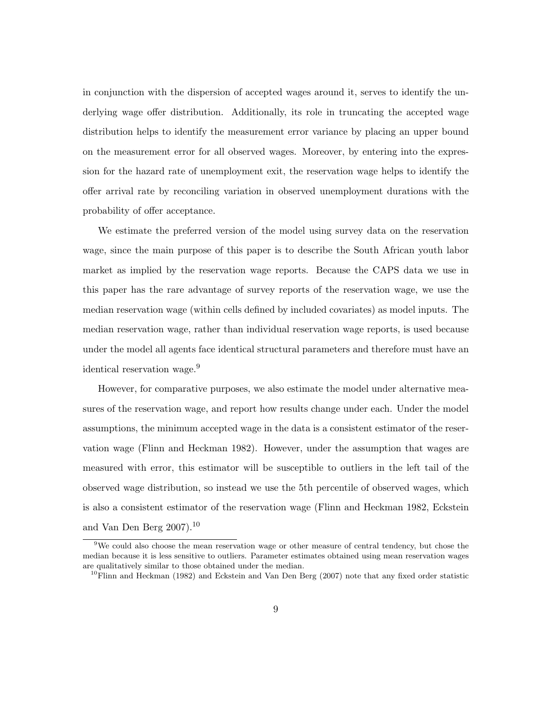in conjunction with the dispersion of accepted wages around it, serves to identify the underlying wage offer distribution. Additionally, its role in truncating the accepted wage distribution helps to identify the measurement error variance by placing an upper bound on the measurement error for all observed wages. Moreover, by entering into the expression for the hazard rate of unemployment exit, the reservation wage helps to identify the offer arrival rate by reconciling variation in observed unemployment durations with the probability of offer acceptance.

We estimate the preferred version of the model using survey data on the reservation wage, since the main purpose of this paper is to describe the South African youth labor market as implied by the reservation wage reports. Because the CAPS data we use in this paper has the rare advantage of survey reports of the reservation wage, we use the median reservation wage (within cells defined by included covariates) as model inputs. The median reservation wage, rather than individual reservation wage reports, is used because under the model all agents face identical structural parameters and therefore must have an identical reservation wage.<sup>9</sup>

However, for comparative purposes, we also estimate the model under alternative measures of the reservation wage, and report how results change under each. Under the model assumptions, the minimum accepted wage in the data is a consistent estimator of the reservation wage (Flinn and Heckman 1982). However, under the assumption that wages are measured with error, this estimator will be susceptible to outliers in the left tail of the observed wage distribution, so instead we use the 5th percentile of observed wages, which is also a consistent estimator of the reservation wage (Flinn and Heckman 1982, Eckstein and Van Den Berg 2007).<sup>10</sup>

<sup>&</sup>lt;sup>9</sup>We could also choose the mean reservation wage or other measure of central tendency, but chose the median because it is less sensitive to outliers. Parameter estimates obtained using mean reservation wages are qualitatively similar to those obtained under the median.

<sup>&</sup>lt;sup>10</sup>Flinn and Heckman (1982) and Eckstein and Van Den Berg (2007) note that any fixed order statistic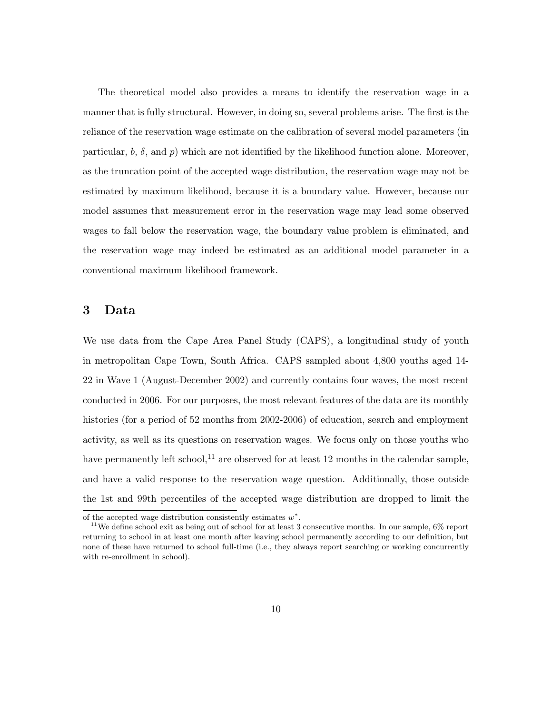The theoretical model also provides a means to identify the reservation wage in a manner that is fully structural. However, in doing so, several problems arise. The first is the reliance of the reservation wage estimate on the calibration of several model parameters (in particular, b,  $\delta$ , and p) which are not identified by the likelihood function alone. Moreover, as the truncation point of the accepted wage distribution, the reservation wage may not be estimated by maximum likelihood, because it is a boundary value. However, because our model assumes that measurement error in the reservation wage may lead some observed wages to fall below the reservation wage, the boundary value problem is eliminated, and the reservation wage may indeed be estimated as an additional model parameter in a conventional maximum likelihood framework.

### 3 Data

We use data from the Cape Area Panel Study (CAPS), a longitudinal study of youth in metropolitan Cape Town, South Africa. CAPS sampled about 4,800 youths aged 14- 22 in Wave 1 (August-December 2002) and currently contains four waves, the most recent conducted in 2006. For our purposes, the most relevant features of the data are its monthly histories (for a period of 52 months from 2002-2006) of education, search and employment activity, as well as its questions on reservation wages. We focus only on those youths who have permanently left school,<sup>11</sup> are observed for at least 12 months in the calendar sample, and have a valid response to the reservation wage question. Additionally, those outside the 1st and 99th percentiles of the accepted wage distribution are dropped to limit the

of the accepted wage distribution consistently estimates  $w^*$ .

<sup>&</sup>lt;sup>11</sup>We define school exit as being out of school for at least 3 consecutive months. In our sample,  $6\%$  report returning to school in at least one month after leaving school permanently according to our definition, but none of these have returned to school full-time (i.e., they always report searching or working concurrently with re-enrollment in school).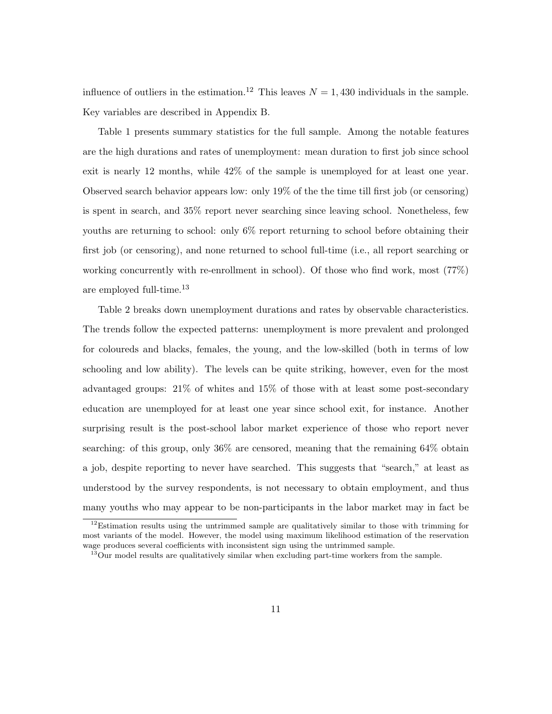influence of outliers in the estimation.<sup>12</sup> This leaves  $N = 1,430$  individuals in the sample. Key variables are described in Appendix B.

Table 1 presents summary statistics for the full sample. Among the notable features are the high durations and rates of unemployment: mean duration to first job since school exit is nearly 12 months, while 42% of the sample is unemployed for at least one year. Observed search behavior appears low: only 19% of the the time till first job (or censoring) is spent in search, and 35% report never searching since leaving school. Nonetheless, few youths are returning to school: only 6% report returning to school before obtaining their first job (or censoring), and none returned to school full-time (i.e., all report searching or working concurrently with re-enrollment in school). Of those who find work, most (77%) are employed full-time.<sup>13</sup>

Table 2 breaks down unemployment durations and rates by observable characteristics. The trends follow the expected patterns: unemployment is more prevalent and prolonged for coloureds and blacks, females, the young, and the low-skilled (both in terms of low schooling and low ability). The levels can be quite striking, however, even for the most advantaged groups: 21% of whites and 15% of those with at least some post-secondary education are unemployed for at least one year since school exit, for instance. Another surprising result is the post-school labor market experience of those who report never searching: of this group, only 36% are censored, meaning that the remaining 64% obtain a job, despite reporting to never have searched. This suggests that "search," at least as understood by the survey respondents, is not necessary to obtain employment, and thus many youths who may appear to be non-participants in the labor market may in fact be

<sup>&</sup>lt;sup>12</sup>Estimation results using the untrimmed sample are qualitatively similar to those with trimming for most variants of the model. However, the model using maximum likelihood estimation of the reservation wage produces several coefficients with inconsistent sign using the untrimmed sample.

 $^{13}$ Our model results are qualitatively similar when excluding part-time workers from the sample.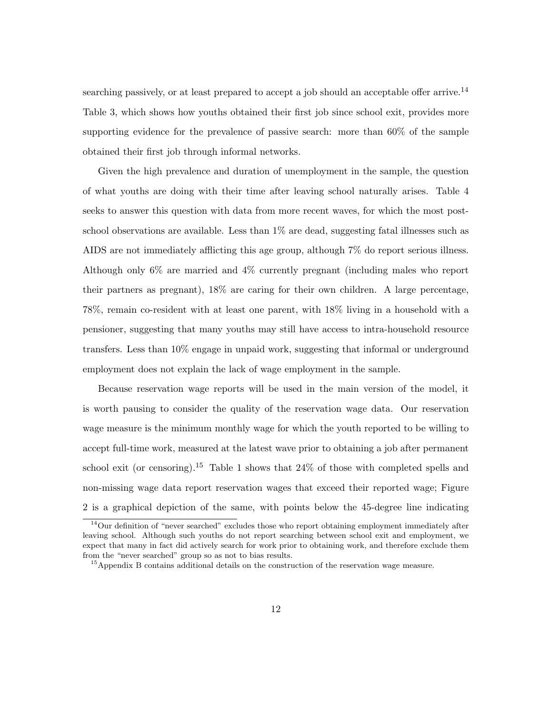searching passively, or at least prepared to accept a job should an acceptable offer arrive.<sup>14</sup> Table 3, which shows how youths obtained their first job since school exit, provides more supporting evidence for the prevalence of passive search: more than 60% of the sample obtained their first job through informal networks.

Given the high prevalence and duration of unemployment in the sample, the question of what youths are doing with their time after leaving school naturally arises. Table 4 seeks to answer this question with data from more recent waves, for which the most postschool observations are available. Less than  $1\%$  are dead, suggesting fatal illnesses such as AIDS are not immediately afflicting this age group, although 7% do report serious illness. Although only 6% are married and 4% currently pregnant (including males who report their partners as pregnant), 18% are caring for their own children. A large percentage, 78%, remain co-resident with at least one parent, with 18% living in a household with a pensioner, suggesting that many youths may still have access to intra-household resource transfers. Less than 10% engage in unpaid work, suggesting that informal or underground employment does not explain the lack of wage employment in the sample.

Because reservation wage reports will be used in the main version of the model, it is worth pausing to consider the quality of the reservation wage data. Our reservation wage measure is the minimum monthly wage for which the youth reported to be willing to accept full-time work, measured at the latest wave prior to obtaining a job after permanent school exit (or censoring).<sup>15</sup> Table 1 shows that  $24\%$  of those with completed spells and non-missing wage data report reservation wages that exceed their reported wage; Figure 2 is a graphical depiction of the same, with points below the 45-degree line indicating

 $14$ Our definition of "never searched" excludes those who report obtaining employment immediately after leaving school. Although such youths do not report searching between school exit and employment, we expect that many in fact did actively search for work prior to obtaining work, and therefore exclude them from the "never searched" group so as not to bias results.

<sup>15</sup>Appendix B contains additional details on the construction of the reservation wage measure.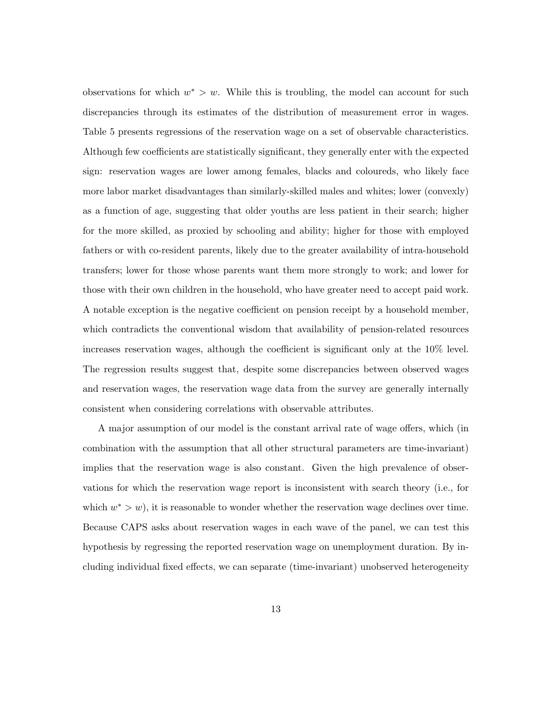observations for which  $w^* > w$ . While this is troubling, the model can account for such discrepancies through its estimates of the distribution of measurement error in wages. Table 5 presents regressions of the reservation wage on a set of observable characteristics. Although few coefficients are statistically significant, they generally enter with the expected sign: reservation wages are lower among females, blacks and coloureds, who likely face more labor market disadvantages than similarly-skilled males and whites; lower (convexly) as a function of age, suggesting that older youths are less patient in their search; higher for the more skilled, as proxied by schooling and ability; higher for those with employed fathers or with co-resident parents, likely due to the greater availability of intra-household transfers; lower for those whose parents want them more strongly to work; and lower for those with their own children in the household, who have greater need to accept paid work. A notable exception is the negative coefficient on pension receipt by a household member, which contradicts the conventional wisdom that availability of pension-related resources increases reservation wages, although the coefficient is significant only at the 10% level. The regression results suggest that, despite some discrepancies between observed wages and reservation wages, the reservation wage data from the survey are generally internally consistent when considering correlations with observable attributes.

A major assumption of our model is the constant arrival rate of wage offers, which (in combination with the assumption that all other structural parameters are time-invariant) implies that the reservation wage is also constant. Given the high prevalence of observations for which the reservation wage report is inconsistent with search theory (i.e., for which  $w^* > w$ , it is reasonable to wonder whether the reservation wage declines over time. Because CAPS asks about reservation wages in each wave of the panel, we can test this hypothesis by regressing the reported reservation wage on unemployment duration. By including individual fixed effects, we can separate (time-invariant) unobserved heterogeneity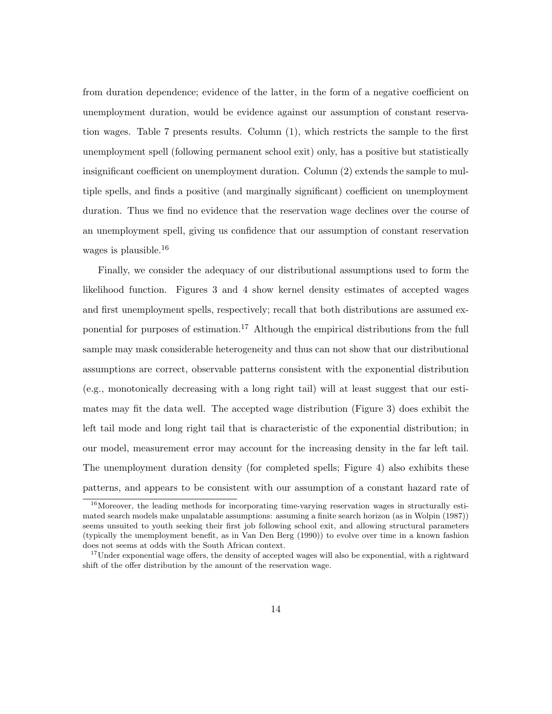from duration dependence; evidence of the latter, in the form of a negative coefficient on unemployment duration, would be evidence against our assumption of constant reservation wages. Table 7 presents results. Column (1), which restricts the sample to the first unemployment spell (following permanent school exit) only, has a positive but statistically insignificant coefficient on unemployment duration. Column (2) extends the sample to multiple spells, and finds a positive (and marginally significant) coefficient on unemployment duration. Thus we find no evidence that the reservation wage declines over the course of an unemployment spell, giving us confidence that our assumption of constant reservation wages is plausible.<sup>16</sup>

Finally, we consider the adequacy of our distributional assumptions used to form the likelihood function. Figures 3 and 4 show kernel density estimates of accepted wages and first unemployment spells, respectively; recall that both distributions are assumed exponential for purposes of estimation.<sup>17</sup> Although the empirical distributions from the full sample may mask considerable heterogeneity and thus can not show that our distributional assumptions are correct, observable patterns consistent with the exponential distribution (e.g., monotonically decreasing with a long right tail) will at least suggest that our estimates may fit the data well. The accepted wage distribution (Figure 3) does exhibit the left tail mode and long right tail that is characteristic of the exponential distribution; in our model, measurement error may account for the increasing density in the far left tail. The unemployment duration density (for completed spells; Figure 4) also exhibits these patterns, and appears to be consistent with our assumption of a constant hazard rate of

 $16$ Moreover, the leading methods for incorporating time-varying reservation wages in structurally estimated search models make unpalatable assumptions: assuming a finite search horizon (as in Wolpin (1987)) seems unsuited to youth seeking their first job following school exit, and allowing structural parameters (typically the unemployment benefit, as in Van Den Berg (1990)) to evolve over time in a known fashion does not seems at odds with the South African context.

<sup>&</sup>lt;sup>17</sup>Under exponential wage offers, the density of accepted wages will also be exponential, with a rightward shift of the offer distribution by the amount of the reservation wage.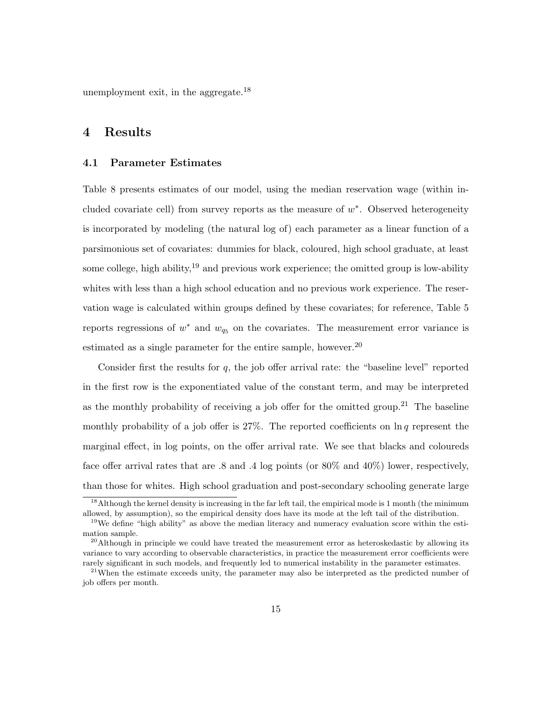unemployment exit, in the aggregate.<sup>18</sup>

## 4 Results

#### 4.1 Parameter Estimates

Table 8 presents estimates of our model, using the median reservation wage (within included covariate cell) from survey reports as the measure of  $w^*$ . Observed heterogeneity is incorporated by modeling (the natural log of) each parameter as a linear function of a parsimonious set of covariates: dummies for black, coloured, high school graduate, at least some college, high ability,  $19$  and previous work experience; the omitted group is low-ability whites with less than a high school education and no previous work experience. The reservation wage is calculated within groups defined by these covariates; for reference, Table 5 reports regressions of  $w^*$  and  $w_{q_5}$  on the covariates. The measurement error variance is estimated as a single parameter for the entire sample, however.<sup>20</sup>

Consider first the results for  $q$ , the job offer arrival rate: the "baseline level" reported in the first row is the exponentiated value of the constant term, and may be interpreted as the monthly probability of receiving a job offer for the omitted group.<sup>21</sup> The baseline monthly probability of a job offer is  $27\%$ . The reported coefficients on  $\ln q$  represent the marginal effect, in log points, on the offer arrival rate. We see that blacks and coloureds face offer arrival rates that are .8 and .4 log points (or 80% and 40%) lower, respectively, than those for whites. High school graduation and post-secondary schooling generate large

<sup>&</sup>lt;sup>18</sup>Although the kernel density is increasing in the far left tail, the empirical mode is 1 month (the minimum allowed, by assumption), so the empirical density does have its mode at the left tail of the distribution.

<sup>&</sup>lt;sup>19</sup>We define "high ability" as above the median literacy and numeracy evaluation score within the estimation sample.

 $^{20}$ Although in principle we could have treated the measurement error as heteroskedastic by allowing its variance to vary according to observable characteristics, in practice the measurement error coefficients were rarely significant in such models, and frequently led to numerical instability in the parameter estimates.

<sup>&</sup>lt;sup>21</sup>When the estimate exceeds unity, the parameter may also be interpreted as the predicted number of job offers per month.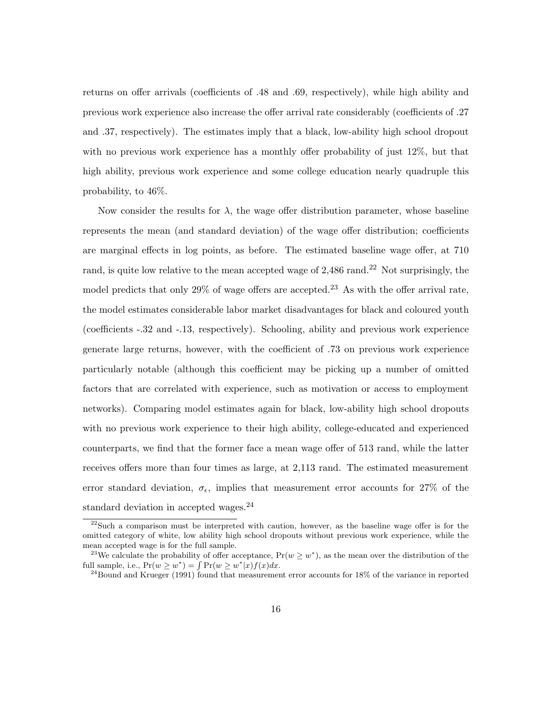returns on offer arrivals (coefficients of .48 and .69, respectively), while high ability and previous work experience also increase the offer arrival rate considerably (coefficients of .27 and .37, respectively). The estimates imply that a black, low-ability high school dropout with no previous work experience has a monthly offer probability of just 12%, but that high ability, previous work experience and some college education nearly quadruple this probability, to 46%.

Now consider the results for  $\lambda$ , the wage offer distribution parameter, whose baseline represents the mean (and standard deviation) of the wage offer distribution; coefficients are marginal effects in log points, as before. The estimated baseline wage offer, at 710 rand, is quite low relative to the mean accepted wage of  $2,486$  rand.<sup>22</sup> Not surprisingly, the model predicts that only  $29\%$  of wage offers are accepted.<sup>23</sup> As with the offer arrival rate, the model estimates considerable labor market disadvantages for black and coloured youth (coefficients -.32 and -.13, respectively). Schooling, ability and previous work experience generate large returns, however, with the coefficient of .73 on previous work experience particularly notable (although this coefficient may be picking up a number of omitted factors that are correlated with experience, such as motivation or access to employment networks). Comparing model estimates again for black, low-ability high school dropouts with no previous work experience to their high ability, college-educated and experienced counterparts, we find that the former face a mean wage offer of 513 rand, while the latter receives offers more than four times as large, at 2,113 rand. The estimated measurement error standard deviation,  $\sigma_{\epsilon}$ , implies that measurement error accounts for 27% of the standard deviation in accepted wages.<sup>24</sup>

<sup>&</sup>lt;sup>22</sup>Such a comparison must be interpreted with caution, however, as the baseline wage offer is for the omitted category of white, low ability high school dropouts without previous work experience, while the mean accepted wage is for the full sample.

<sup>&</sup>lt;sup>23</sup>We calculate the probability of offer acceptance,  $Pr(w \geq w^*)$ , as the mean over the distribution of the full sample, i.e.,  $Pr(w \geq w^*) = \int Pr(w \geq w^*|x) f(x) dx$ .

 $^{24}$ Bound and Krueger (1991) found that measurement error accounts for 18% of the variance in reported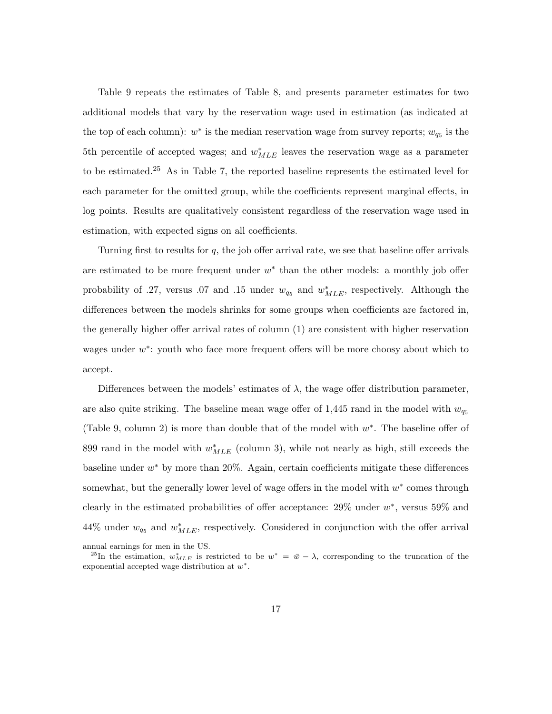Table 9 repeats the estimates of Table 8, and presents parameter estimates for two additional models that vary by the reservation wage used in estimation (as indicated at the top of each column):  $w^*$  is the median reservation wage from survey reports;  $w_{q_5}$  is the 5th percentile of accepted wages; and  $w_{MLE}^*$  leaves the reservation wage as a parameter to be estimated.<sup>25</sup> As in Table 7, the reported baseline represents the estimated level for each parameter for the omitted group, while the coefficients represent marginal effects, in log points. Results are qualitatively consistent regardless of the reservation wage used in estimation, with expected signs on all coefficients.

Turning first to results for q, the job offer arrival rate, we see that baseline offer arrivals are estimated to be more frequent under  $w^*$  than the other models: a monthly job offer probability of .27, versus .07 and .15 under  $w_{q_5}$  and  $w_{MLE}^*$ , respectively. Although the differences between the models shrinks for some groups when coefficients are factored in, the generally higher offer arrival rates of column (1) are consistent with higher reservation wages under  $w^*$ : youth who face more frequent offers will be more choosy about which to accept.

Differences between the models' estimates of  $\lambda$ , the wage offer distribution parameter, are also quite striking. The baseline mean wage offer of 1,445 rand in the model with  $w_{q_5}$ (Table 9, column 2) is more than double that of the model with  $w^*$ . The baseline offer of 899 rand in the model with  $w_{MLE}^*$  (column 3), while not nearly as high, still exceeds the baseline under  $w^*$  by more than 20%. Again, certain coefficients mitigate these differences somewhat, but the generally lower level of wage offers in the model with  $w^*$  comes through clearly in the estimated probabilities of offer acceptance:  $29\%$  under  $w^*$ , versus  $59\%$  and 44% under  $w_{q_5}$  and  $w_{MLE}^*$ , respectively. Considered in conjunction with the offer arrival

annual earnings for men in the US.

<sup>&</sup>lt;sup>25</sup>In the estimation,  $w_{MLE}^*$  is restricted to be  $w^* = \bar{w} - \lambda$ , corresponding to the truncation of the exponential accepted wage distribution at  $w^*$ .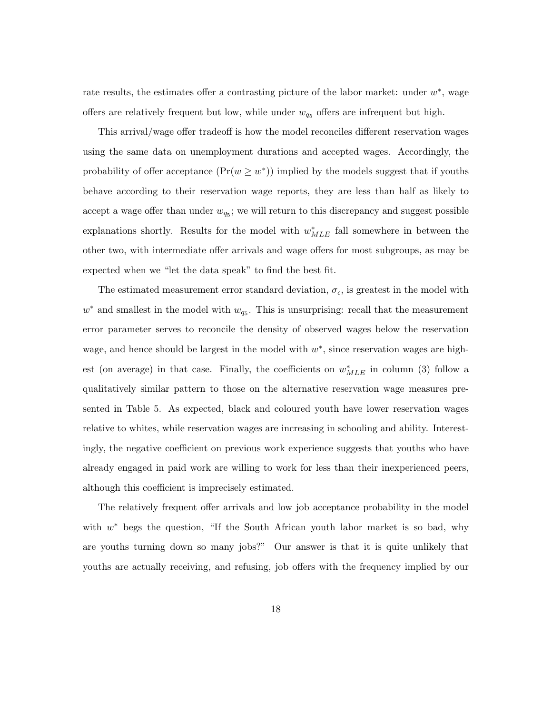rate results, the estimates offer a contrasting picture of the labor market: under  $w^*$ , wage offers are relatively frequent but low, while under  $w_{q_5}$  offers are infrequent but high.

This arrival/wage offer tradeoff is how the model reconciles different reservation wages using the same data on unemployment durations and accepted wages. Accordingly, the probability of offer acceptance  $(\Pr(w \geq w^*))$  implied by the models suggest that if youths behave according to their reservation wage reports, they are less than half as likely to accept a wage offer than under  $w_{q_5}$ ; we will return to this discrepancy and suggest possible explanations shortly. Results for the model with  $w^*_{MLE}$  fall somewhere in between the other two, with intermediate offer arrivals and wage offers for most subgroups, as may be expected when we "let the data speak" to find the best fit.

The estimated measurement error standard deviation,  $\sigma_{\epsilon}$ , is greatest in the model with  $w^*$  and smallest in the model with  $w_{q_5}$ . This is unsurprising: recall that the measurement error parameter serves to reconcile the density of observed wages below the reservation wage, and hence should be largest in the model with  $w^*$ , since reservation wages are highest (on average) in that case. Finally, the coefficients on  $w^*_{MLE}$  in column (3) follow a qualitatively similar pattern to those on the alternative reservation wage measures presented in Table 5. As expected, black and coloured youth have lower reservation wages relative to whites, while reservation wages are increasing in schooling and ability. Interestingly, the negative coefficient on previous work experience suggests that youths who have already engaged in paid work are willing to work for less than their inexperienced peers, although this coefficient is imprecisely estimated.

The relatively frequent offer arrivals and low job acceptance probability in the model with  $w^*$  begs the question, "If the South African youth labor market is so bad, why are youths turning down so many jobs?" Our answer is that it is quite unlikely that youths are actually receiving, and refusing, job offers with the frequency implied by our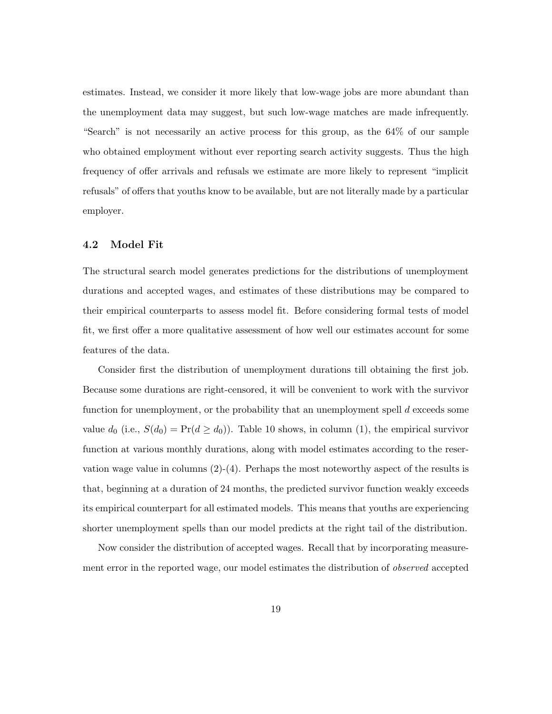estimates. Instead, we consider it more likely that low-wage jobs are more abundant than the unemployment data may suggest, but such low-wage matches are made infrequently. "Search" is not necessarily an active process for this group, as the 64% of our sample who obtained employment without ever reporting search activity suggests. Thus the high frequency of offer arrivals and refusals we estimate are more likely to represent "implicit refusals" of offers that youths know to be available, but are not literally made by a particular employer.

#### 4.2 Model Fit

The structural search model generates predictions for the distributions of unemployment durations and accepted wages, and estimates of these distributions may be compared to their empirical counterparts to assess model fit. Before considering formal tests of model fit, we first offer a more qualitative assessment of how well our estimates account for some features of the data.

Consider first the distribution of unemployment durations till obtaining the first job. Because some durations are right-censored, it will be convenient to work with the survivor function for unemployment, or the probability that an unemployment spell d exceeds some value  $d_0$  (i.e.,  $S(d_0) = \Pr(d \geq d_0)$ ). Table 10 shows, in column (1), the empirical survivor function at various monthly durations, along with model estimates according to the reservation wage value in columns  $(2)-(4)$ . Perhaps the most noteworthy aspect of the results is that, beginning at a duration of 24 months, the predicted survivor function weakly exceeds its empirical counterpart for all estimated models. This means that youths are experiencing shorter unemployment spells than our model predicts at the right tail of the distribution.

Now consider the distribution of accepted wages. Recall that by incorporating measurement error in the reported wage, our model estimates the distribution of observed accepted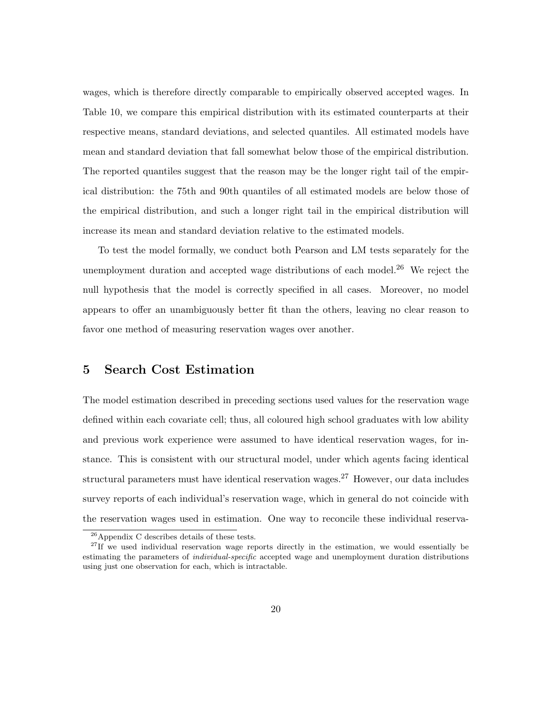wages, which is therefore directly comparable to empirically observed accepted wages. In Table 10, we compare this empirical distribution with its estimated counterparts at their respective means, standard deviations, and selected quantiles. All estimated models have mean and standard deviation that fall somewhat below those of the empirical distribution. The reported quantiles suggest that the reason may be the longer right tail of the empirical distribution: the 75th and 90th quantiles of all estimated models are below those of the empirical distribution, and such a longer right tail in the empirical distribution will increase its mean and standard deviation relative to the estimated models.

To test the model formally, we conduct both Pearson and LM tests separately for the unemployment duration and accepted wage distributions of each model. $^{26}$  We reject the null hypothesis that the model is correctly specified in all cases. Moreover, no model appears to offer an unambiguously better fit than the others, leaving no clear reason to favor one method of measuring reservation wages over another.

### 5 Search Cost Estimation

The model estimation described in preceding sections used values for the reservation wage defined within each covariate cell; thus, all coloured high school graduates with low ability and previous work experience were assumed to have identical reservation wages, for instance. This is consistent with our structural model, under which agents facing identical structural parameters must have identical reservation wages.<sup>27</sup> However, our data includes survey reports of each individual's reservation wage, which in general do not coincide with the reservation wages used in estimation. One way to reconcile these individual reserva-

<sup>26</sup>Appendix C describes details of these tests.

 $27$ If we used individual reservation wage reports directly in the estimation, we would essentially be estimating the parameters of individual-specific accepted wage and unemployment duration distributions using just one observation for each, which is intractable.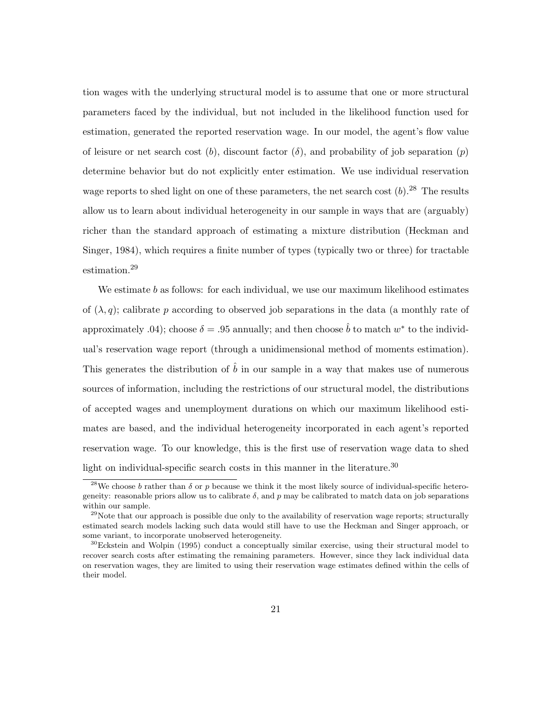tion wages with the underlying structural model is to assume that one or more structural parameters faced by the individual, but not included in the likelihood function used for estimation, generated the reported reservation wage. In our model, the agent's flow value of leisure or net search cost (b), discount factor ( $\delta$ ), and probability of job separation (p) determine behavior but do not explicitly enter estimation. We use individual reservation wage reports to shed light on one of these parameters, the net search cost  $(b)$ .<sup>28</sup> The results allow us to learn about individual heterogeneity in our sample in ways that are (arguably) richer than the standard approach of estimating a mixture distribution (Heckman and Singer, 1984), which requires a finite number of types (typically two or three) for tractable estimation.<sup>29</sup>

We estimate  $b$  as follows: for each individual, we use our maximum likelihood estimates of  $(\lambda, q)$ ; calibrate p according to observed job separations in the data (a monthly rate of approximately .04); choose  $\delta = .95$  annually; and then choose  $\hat{b}$  to match  $w^*$  to the individual's reservation wage report (through a unidimensional method of moments estimation). This generates the distribution of  $\hat{b}$  in our sample in a way that makes use of numerous sources of information, including the restrictions of our structural model, the distributions of accepted wages and unemployment durations on which our maximum likelihood estimates are based, and the individual heterogeneity incorporated in each agent's reported reservation wage. To our knowledge, this is the first use of reservation wage data to shed light on individual-specific search costs in this manner in the literature.<sup>30</sup>

<sup>&</sup>lt;sup>28</sup>We choose b rather than  $\delta$  or p because we think it the most likely source of individual-specific heterogeneity: reasonable priors allow us to calibrate  $\delta$ , and p may be calibrated to match data on job separations within our sample.

 $29$ Note that our approach is possible due only to the availability of reservation wage reports; structurally estimated search models lacking such data would still have to use the Heckman and Singer approach, or some variant, to incorporate unobserved heterogeneity.

 $30E$ ckstein and Wolpin (1995) conduct a conceptually similar exercise, using their structural model to recover search costs after estimating the remaining parameters. However, since they lack individual data on reservation wages, they are limited to using their reservation wage estimates defined within the cells of their model.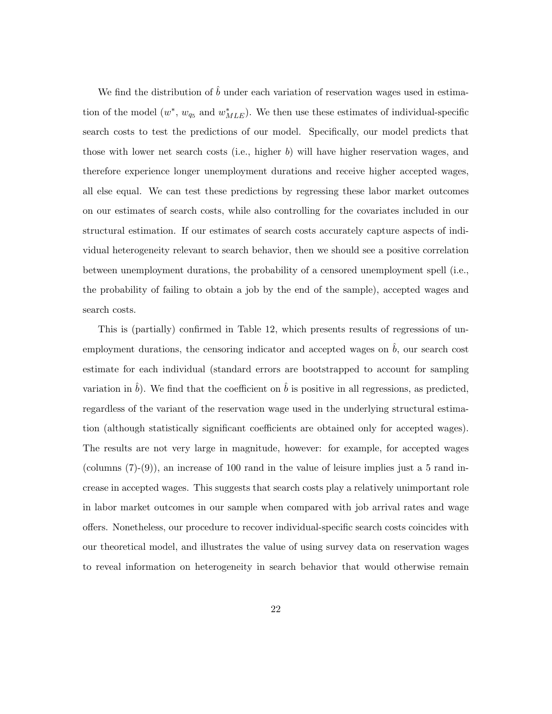We find the distribution of  $\hat{b}$  under each variation of reservation wages used in estimation of the model  $(w^*, w_{q_5}$  and  $w^*_{MLE}$ ). We then use these estimates of individual-specific search costs to test the predictions of our model. Specifically, our model predicts that those with lower net search costs (i.e., higher b) will have higher reservation wages, and therefore experience longer unemployment durations and receive higher accepted wages, all else equal. We can test these predictions by regressing these labor market outcomes on our estimates of search costs, while also controlling for the covariates included in our structural estimation. If our estimates of search costs accurately capture aspects of individual heterogeneity relevant to search behavior, then we should see a positive correlation between unemployment durations, the probability of a censored unemployment spell (i.e., the probability of failing to obtain a job by the end of the sample), accepted wages and search costs.

This is (partially) confirmed in Table 12, which presents results of regressions of unemployment durations, the censoring indicator and accepted wages on  $\hat{b}$ , our search cost estimate for each individual (standard errors are bootstrapped to account for sampling variation in  $\hat{b}$ ). We find that the coefficient on  $\hat{b}$  is positive in all regressions, as predicted, regardless of the variant of the reservation wage used in the underlying structural estimation (although statistically significant coefficients are obtained only for accepted wages). The results are not very large in magnitude, however: for example, for accepted wages (columns  $(7)-(9)$ ), an increase of 100 rand in the value of leisure implies just a 5 rand increase in accepted wages. This suggests that search costs play a relatively unimportant role in labor market outcomes in our sample when compared with job arrival rates and wage offers. Nonetheless, our procedure to recover individual-specific search costs coincides with our theoretical model, and illustrates the value of using survey data on reservation wages to reveal information on heterogeneity in search behavior that would otherwise remain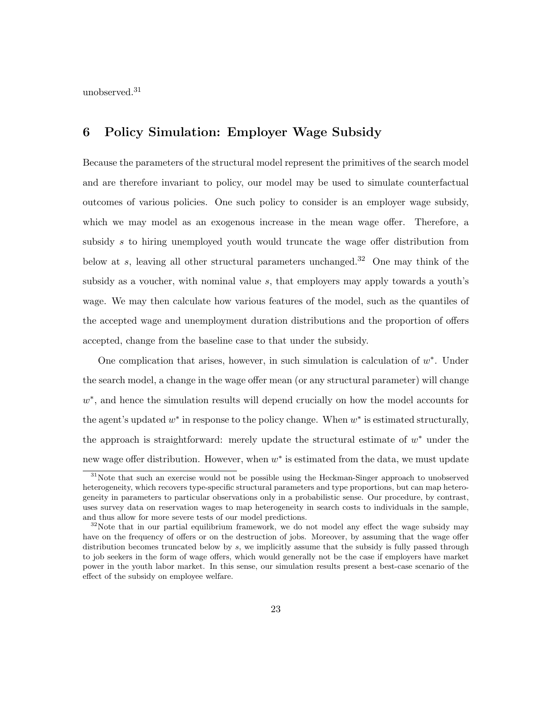unobserved.<sup>31</sup>

# 6 Policy Simulation: Employer Wage Subsidy

Because the parameters of the structural model represent the primitives of the search model and are therefore invariant to policy, our model may be used to simulate counterfactual outcomes of various policies. One such policy to consider is an employer wage subsidy, which we may model as an exogenous increase in the mean wage offer. Therefore, a subsidy s to hiring unemployed youth would truncate the wage offer distribution from below at s, leaving all other structural parameters unchanged.<sup>32</sup> One may think of the subsidy as a voucher, with nominal value s, that employers may apply towards a youth's wage. We may then calculate how various features of the model, such as the quantiles of the accepted wage and unemployment duration distributions and the proportion of offers accepted, change from the baseline case to that under the subsidy.

One complication that arises, however, in such simulation is calculation of  $w^*$ . Under the search model, a change in the wage offer mean (or any structural parameter) will change w<sup>\*</sup>, and hence the simulation results will depend crucially on how the model accounts for the agent's updated  $w^*$  in response to the policy change. When  $w^*$  is estimated structurally, the approach is straightforward: merely update the structural estimate of  $w^*$  under the new wage offer distribution. However, when  $w^*$  is estimated from the data, we must update

<sup>&</sup>lt;sup>31</sup>Note that such an exercise would not be possible using the Heckman-Singer approach to unobserved heterogeneity, which recovers type-specific structural parameters and type proportions, but can map heterogeneity in parameters to particular observations only in a probabilistic sense. Our procedure, by contrast, uses survey data on reservation wages to map heterogeneity in search costs to individuals in the sample, and thus allow for more severe tests of our model predictions.

 $32\text{Note that in our partial equilibrium framework, we do not model any effect the wage subsidy may.}$ have on the frequency of offers or on the destruction of jobs. Moreover, by assuming that the wage offer distribution becomes truncated below by s, we implicitly assume that the subsidy is fully passed through to job seekers in the form of wage offers, which would generally not be the case if employers have market power in the youth labor market. In this sense, our simulation results present a best-case scenario of the effect of the subsidy on employee welfare.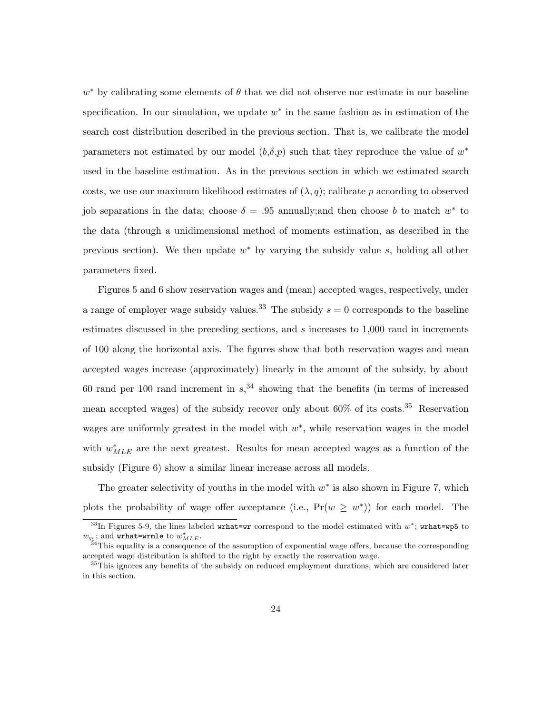$w^*$  by calibrating some elements of  $\theta$  that we did not observe nor estimate in our baseline specification. In our simulation, we update  $w^*$  in the same fashion as in estimation of the search cost distribution described in the previous section. That is, we calibrate the model parameters not estimated by our model  $(b,\delta,p)$  such that they reproduce the value of  $w^*$ used in the baseline estimation. As in the previous section in which we estimated search costs, we use our maximum likelihood estimates of  $(\lambda, q)$ ; calibrate p according to observed job separations in the data; choose  $\delta = .95$  annually; and then choose b to match  $w^*$  to the data (through a unidimensional method of moments estimation, as described in the previous section). We then update  $w^*$  by varying the subsidy value s, holding all other parameters fixed.

Figures 5 and 6 show reservation wages and (mean) accepted wages, respectively, under a range of employer wage subsidy values.<sup>33</sup> The subsidy  $s = 0$  corresponds to the baseline estimates discussed in the preceding sections, and s increases to 1,000 rand in increments of 100 along the horizontal axis. The figures show that both reservation wages and mean accepted wages increase (approximately) linearly in the amount of the subsidy, by about 60 rand per 100 rand increment in  $s<sub>1</sub><sup>34</sup>$  showing that the benefits (in terms of increased mean accepted wages) of the subsidy recover only about  $60\%$  of its costs.<sup>35</sup> Reservation wages are uniformly greatest in the model with  $w^*$ , while reservation wages in the model with  $w_{MLE}^*$  are the next greatest. Results for mean accepted wages as a function of the subsidy (Figure 6) show a similar linear increase across all models.

The greater selectivity of youths in the model with  $w^*$  is also shown in Figure 7, which plots the probability of wage offer acceptance (i.e.,  $Pr(w \geq w^*)$ ) for each model. The

<sup>&</sup>lt;sup>33</sup>In Figures 5-9, the lines labeled wrhat=wr correspond to the model estimated with  $w^*$ ; wrhat=wp5 to  $w_{q_5}$ ; and wrhat=wrmle to  $w_{MLE}^*$ .

 $34$ This equality is a consequence of the assumption of exponential wage offers, because the corresponding accepted wage distribution is shifted to the right by exactly the reservation wage.

 $35$ This ignores any benefits of the subsidy on reduced employment durations, which are considered later in this section.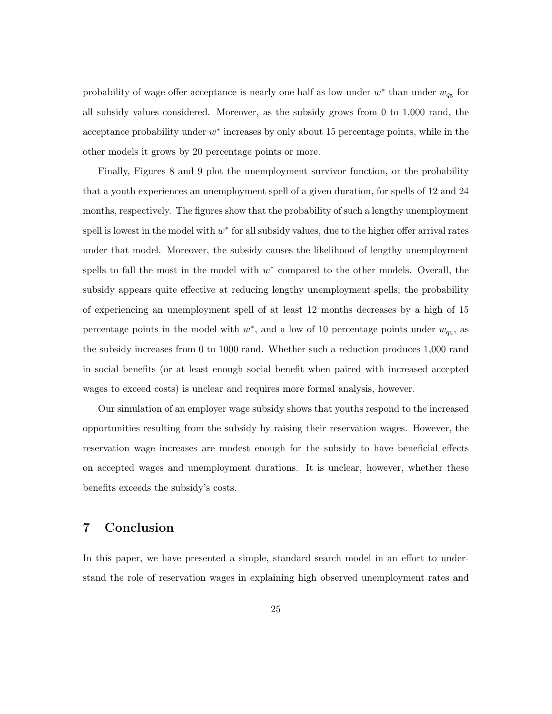probability of wage offer acceptance is nearly one half as low under  $w^*$  than under  $w_{q_5}$  for all subsidy values considered. Moreover, as the subsidy grows from 0 to 1,000 rand, the acceptance probability under  $w^*$  increases by only about 15 percentage points, while in the other models it grows by 20 percentage points or more.

Finally, Figures 8 and 9 plot the unemployment survivor function, or the probability that a youth experiences an unemployment spell of a given duration, for spells of 12 and 24 months, respectively. The figures show that the probability of such a lengthy unemployment spell is lowest in the model with  $w^*$  for all subsidy values, due to the higher offer arrival rates under that model. Moreover, the subsidy causes the likelihood of lengthy unemployment spells to fall the most in the model with  $w^*$  compared to the other models. Overall, the subsidy appears quite effective at reducing lengthy unemployment spells; the probability of experiencing an unemployment spell of at least 12 months decreases by a high of 15 percentage points in the model with  $w^*$ , and a low of 10 percentage points under  $w_{q_5}$ , as the subsidy increases from 0 to 1000 rand. Whether such a reduction produces 1,000 rand in social benefits (or at least enough social benefit when paired with increased accepted wages to exceed costs) is unclear and requires more formal analysis, however.

Our simulation of an employer wage subsidy shows that youths respond to the increased opportunities resulting from the subsidy by raising their reservation wages. However, the reservation wage increases are modest enough for the subsidy to have beneficial effects on accepted wages and unemployment durations. It is unclear, however, whether these benefits exceeds the subsidy's costs.

### 7 Conclusion

In this paper, we have presented a simple, standard search model in an effort to understand the role of reservation wages in explaining high observed unemployment rates and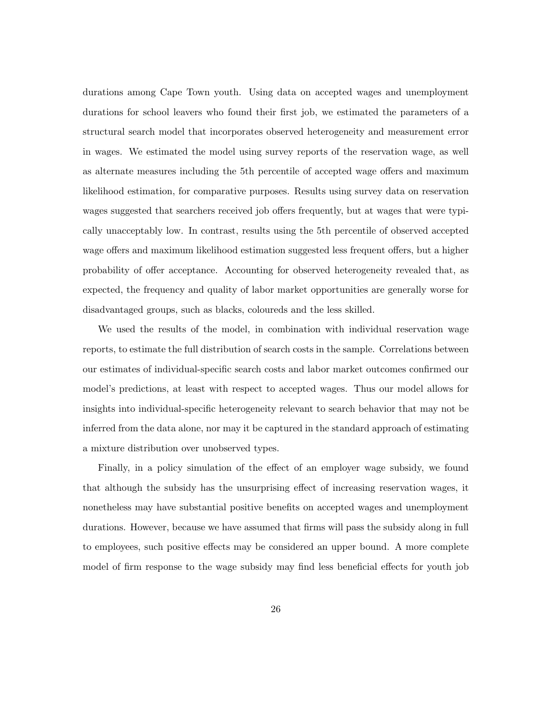durations among Cape Town youth. Using data on accepted wages and unemployment durations for school leavers who found their first job, we estimated the parameters of a structural search model that incorporates observed heterogeneity and measurement error in wages. We estimated the model using survey reports of the reservation wage, as well as alternate measures including the 5th percentile of accepted wage offers and maximum likelihood estimation, for comparative purposes. Results using survey data on reservation wages suggested that searchers received job offers frequently, but at wages that were typically unacceptably low. In contrast, results using the 5th percentile of observed accepted wage offers and maximum likelihood estimation suggested less frequent offers, but a higher probability of offer acceptance. Accounting for observed heterogeneity revealed that, as expected, the frequency and quality of labor market opportunities are generally worse for disadvantaged groups, such as blacks, coloureds and the less skilled.

We used the results of the model, in combination with individual reservation wage reports, to estimate the full distribution of search costs in the sample. Correlations between our estimates of individual-specific search costs and labor market outcomes confirmed our model's predictions, at least with respect to accepted wages. Thus our model allows for insights into individual-specific heterogeneity relevant to search behavior that may not be inferred from the data alone, nor may it be captured in the standard approach of estimating a mixture distribution over unobserved types.

Finally, in a policy simulation of the effect of an employer wage subsidy, we found that although the subsidy has the unsurprising effect of increasing reservation wages, it nonetheless may have substantial positive benefits on accepted wages and unemployment durations. However, because we have assumed that firms will pass the subsidy along in full to employees, such positive effects may be considered an upper bound. A more complete model of firm response to the wage subsidy may find less beneficial effects for youth job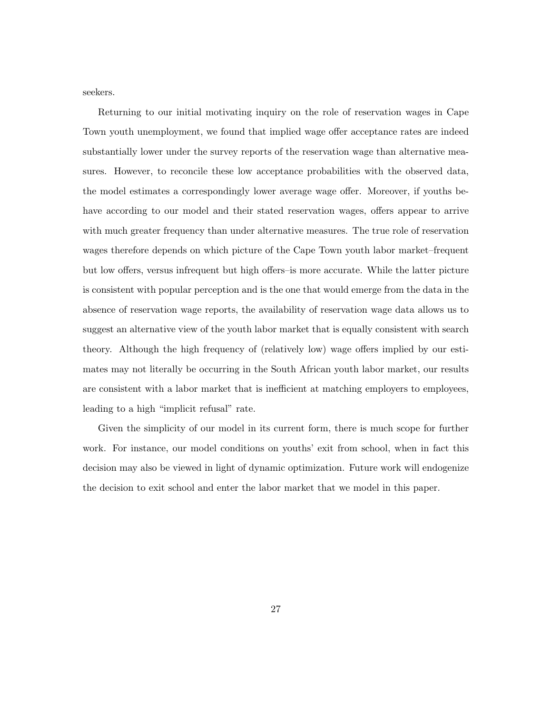seekers.

Returning to our initial motivating inquiry on the role of reservation wages in Cape Town youth unemployment, we found that implied wage offer acceptance rates are indeed substantially lower under the survey reports of the reservation wage than alternative measures. However, to reconcile these low acceptance probabilities with the observed data, the model estimates a correspondingly lower average wage offer. Moreover, if youths behave according to our model and their stated reservation wages, offers appear to arrive with much greater frequency than under alternative measures. The true role of reservation wages therefore depends on which picture of the Cape Town youth labor market–frequent but low offers, versus infrequent but high offers–is more accurate. While the latter picture is consistent with popular perception and is the one that would emerge from the data in the absence of reservation wage reports, the availability of reservation wage data allows us to suggest an alternative view of the youth labor market that is equally consistent with search theory. Although the high frequency of (relatively low) wage offers implied by our estimates may not literally be occurring in the South African youth labor market, our results are consistent with a labor market that is inefficient at matching employers to employees, leading to a high "implicit refusal" rate.

Given the simplicity of our model in its current form, there is much scope for further work. For instance, our model conditions on youths' exit from school, when in fact this decision may also be viewed in light of dynamic optimization. Future work will endogenize the decision to exit school and enter the labor market that we model in this paper.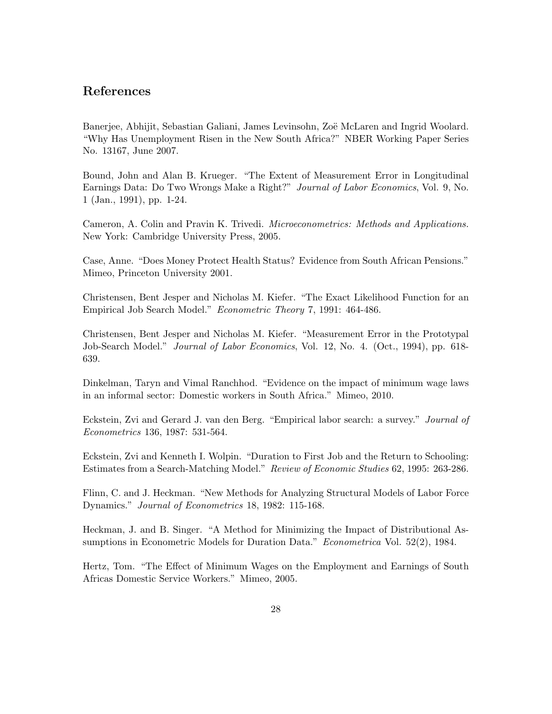### References

Banerjee, Abhijit, Sebastian Galiani, James Levinsohn, Zoë McLaren and Ingrid Woolard. "Why Has Unemployment Risen in the New South Africa?" NBER Working Paper Series No. 13167, June 2007.

Bound, John and Alan B. Krueger. "The Extent of Measurement Error in Longitudinal Earnings Data: Do Two Wrongs Make a Right?" Journal of Labor Economics, Vol. 9, No. 1 (Jan., 1991), pp. 1-24.

Cameron, A. Colin and Pravin K. Trivedi. Microeconometrics: Methods and Applications. New York: Cambridge University Press, 2005.

Case, Anne. "Does Money Protect Health Status? Evidence from South African Pensions." Mimeo, Princeton University 2001.

Christensen, Bent Jesper and Nicholas M. Kiefer. "The Exact Likelihood Function for an Empirical Job Search Model." Econometric Theory 7, 1991: 464-486.

Christensen, Bent Jesper and Nicholas M. Kiefer. "Measurement Error in the Prototypal Job-Search Model." Journal of Labor Economics, Vol. 12, No. 4. (Oct., 1994), pp. 618- 639.

Dinkelman, Taryn and Vimal Ranchhod. "Evidence on the impact of minimum wage laws in an informal sector: Domestic workers in South Africa." Mimeo, 2010.

Eckstein, Zvi and Gerard J. van den Berg. "Empirical labor search: a survey." Journal of Econometrics 136, 1987: 531-564.

Eckstein, Zvi and Kenneth I. Wolpin. "Duration to First Job and the Return to Schooling: Estimates from a Search-Matching Model." Review of Economic Studies 62, 1995: 263-286.

Flinn, C. and J. Heckman. "New Methods for Analyzing Structural Models of Labor Force Dynamics." Journal of Econometrics 18, 1982: 115-168.

Heckman, J. and B. Singer. "A Method for Minimizing the Impact of Distributional Assumptions in Econometric Models for Duration Data." Econometrica Vol. 52(2), 1984.

Hertz, Tom. "The Effect of Minimum Wages on the Employment and Earnings of South Africas Domestic Service Workers." Mimeo, 2005.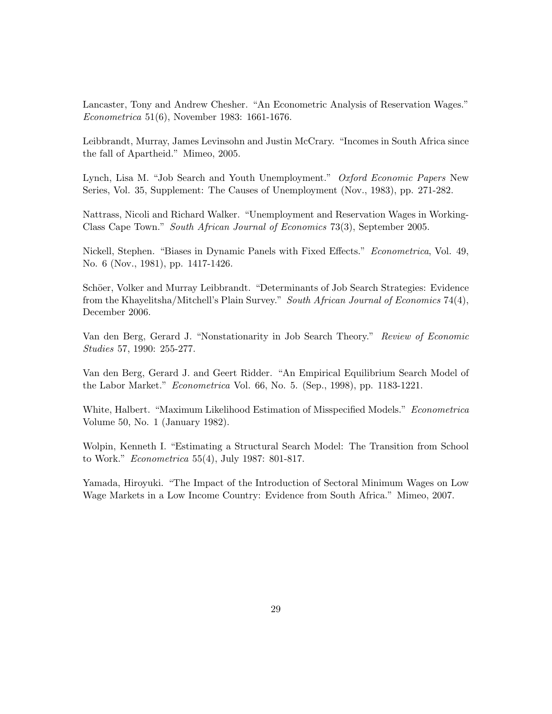Lancaster, Tony and Andrew Chesher. "An Econometric Analysis of Reservation Wages." Econometrica 51(6), November 1983: 1661-1676.

Leibbrandt, Murray, James Levinsohn and Justin McCrary. "Incomes in South Africa since the fall of Apartheid." Mimeo, 2005.

Lynch, Lisa M. "Job Search and Youth Unemployment." Oxford Economic Papers New Series, Vol. 35, Supplement: The Causes of Unemployment (Nov., 1983), pp. 271-282.

Nattrass, Nicoli and Richard Walker. "Unemployment and Reservation Wages in Working-Class Cape Town." South African Journal of Economics 73(3), September 2005.

Nickell, Stephen. "Biases in Dynamic Panels with Fixed Effects." Econometrica, Vol. 49, No. 6 (Nov., 1981), pp. 1417-1426.

Schöer, Volker and Murray Leibbrandt. "Determinants of Job Search Strategies: Evidence from the Khayelitsha/Mitchell's Plain Survey." South African Journal of Economics 74(4), December 2006.

Van den Berg, Gerard J. "Nonstationarity in Job Search Theory." Review of Economic Studies 57, 1990: 255-277.

Van den Berg, Gerard J. and Geert Ridder. "An Empirical Equilibrium Search Model of the Labor Market." Econometrica Vol. 66, No. 5. (Sep., 1998), pp. 1183-1221.

White, Halbert. "Maximum Likelihood Estimation of Misspecified Models." Econometrica Volume 50, No. 1 (January 1982).

Wolpin, Kenneth I. "Estimating a Structural Search Model: The Transition from School to Work." Econometrica 55(4), July 1987: 801-817.

Yamada, Hiroyuki. "The Impact of the Introduction of Sectoral Minimum Wages on Low Wage Markets in a Low Income Country: Evidence from South Africa." Mimeo, 2007.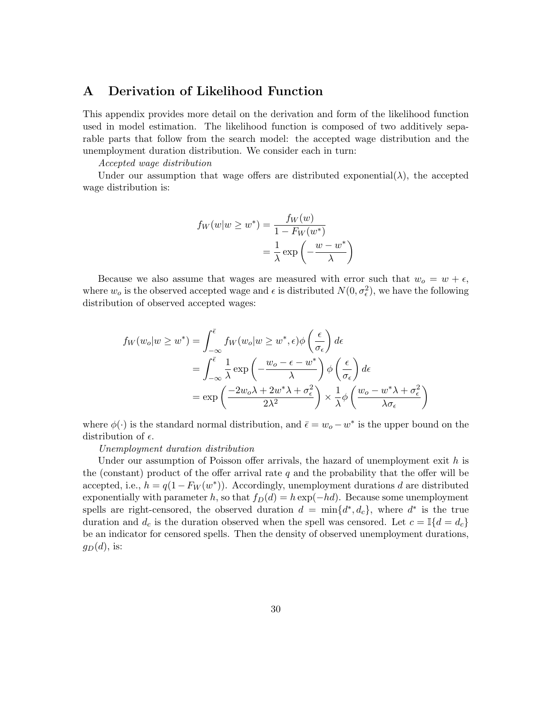### A Derivation of Likelihood Function

This appendix provides more detail on the derivation and form of the likelihood function used in model estimation. The likelihood function is composed of two additively separable parts that follow from the search model: the accepted wage distribution and the unemployment duration distribution. We consider each in turn:

Accepted wage distribution

Under our assumption that wage offers are distributed exponential( $\lambda$ ), the accepted wage distribution is:

$$
f_W(w|w \ge w^*) = \frac{f_W(w)}{1 - F_W(w^*)}
$$

$$
= \frac{1}{\lambda} \exp\left(-\frac{w - w^*}{\lambda}\right)
$$

Because we also assume that wages are measured with error such that  $w_0 = w + \epsilon$ , where  $w_o$  is the observed accepted wage and  $\epsilon$  is distributed  $N(0, \sigma_{\epsilon}^2)$ , we have the following distribution of observed accepted wages:

$$
f_W(w_o|w \ge w^*) = \int_{-\infty}^{\overline{\epsilon}} f_W(w_o|w \ge w^*, \epsilon) \phi\left(\frac{\epsilon}{\sigma_{\epsilon}}\right) d\epsilon
$$
  
= 
$$
\int_{-\infty}^{\overline{\epsilon}} \frac{1}{\lambda} \exp\left(-\frac{w_o - \epsilon - w^*}{\lambda}\right) \phi\left(\frac{\epsilon}{\sigma_{\epsilon}}\right) d\epsilon
$$
  
= 
$$
\exp\left(\frac{-2w_o\lambda + 2w^*\lambda + \sigma_{\epsilon}^2}{2\lambda^2}\right) \times \frac{1}{\lambda} \phi\left(\frac{w_o - w^*\lambda + \sigma_{\epsilon}^2}{\lambda \sigma_{\epsilon}}\right)
$$

where  $\phi(\cdot)$  is the standard normal distribution, and  $\bar{\epsilon} = w_o - w^*$  is the upper bound on the distribution of  $\epsilon$ .

#### Unemployment duration distribution

Under our assumption of Poisson offer arrivals, the hazard of unemployment exit  $h$  is the (constant) product of the offer arrival rate  $q$  and the probability that the offer will be accepted, i.e.,  $h = q(1 - F_W(w^*))$ . Accordingly, unemployment durations d are distributed exponentially with parameter h, so that  $f_D(d) = h \exp(-hd)$ . Because some unemployment spells are right-censored, the observed duration  $d = \min\{d^*, d_c\}$ , where  $d^*$  is the true duration and  $d_c$  is the duration observed when the spell was censored. Let  $c = \mathbb{I}{d = d_c}$ be an indicator for censored spells. Then the density of observed unemployment durations,  $g_D(d)$ , is: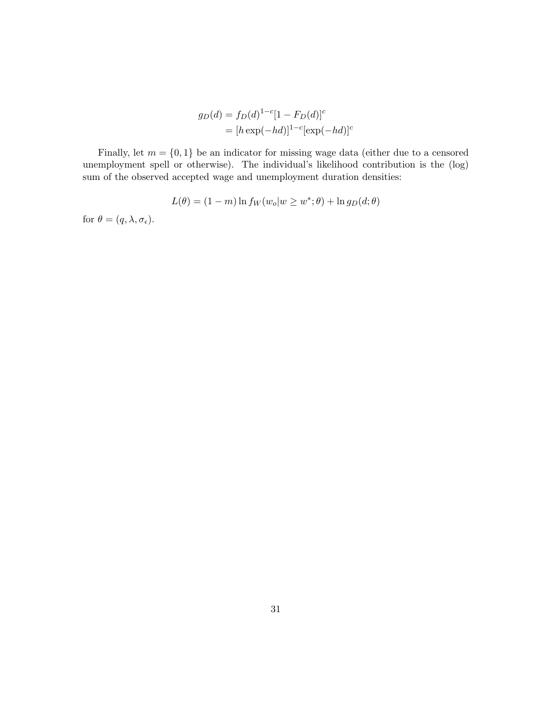$$
g_D(d) = f_D(d)^{1-c}[1 - F_D(d)]^c
$$
  
= 
$$
[h \exp(-hd)]^{1-c}[\exp(-hd)]^c
$$

Finally, let  $m = \{0, 1\}$  be an indicator for missing wage data (either due to a censored unemployment spell or otherwise). The individual's likelihood contribution is the (log) sum of the observed accepted wage and unemployment duration densities:

$$
L(\theta) = (1 - m) \ln f_W(w_o|w \ge w^*; \theta) + \ln g_D(d; \theta)
$$

for  $\theta = (q, \lambda, \sigma_{\epsilon}).$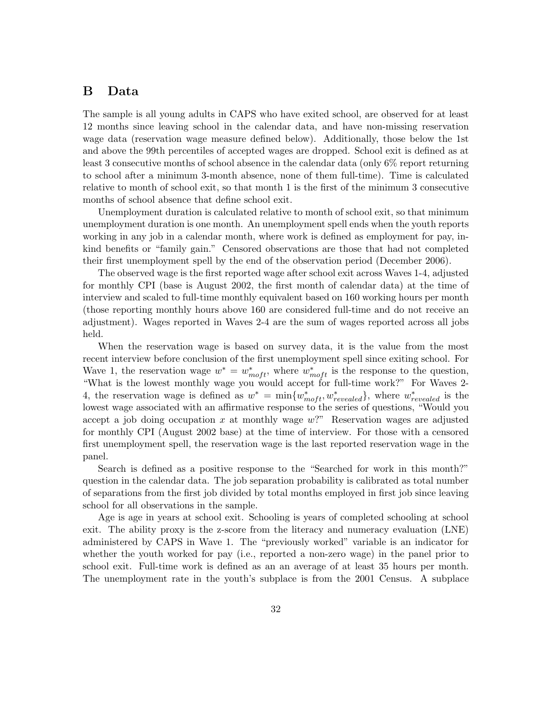### B Data

The sample is all young adults in CAPS who have exited school, are observed for at least 12 months since leaving school in the calendar data, and have non-missing reservation wage data (reservation wage measure defined below). Additionally, those below the 1st and above the 99th percentiles of accepted wages are dropped. School exit is defined as at least 3 consecutive months of school absence in the calendar data (only 6% report returning to school after a minimum 3-month absence, none of them full-time). Time is calculated relative to month of school exit, so that month 1 is the first of the minimum 3 consecutive months of school absence that define school exit.

Unemployment duration is calculated relative to month of school exit, so that minimum unemployment duration is one month. An unemployment spell ends when the youth reports working in any job in a calendar month, where work is defined as employment for pay, inkind benefits or "family gain." Censored observations are those that had not completed their first unemployment spell by the end of the observation period (December 2006).

The observed wage is the first reported wage after school exit across Waves 1-4, adjusted for monthly CPI (base is August 2002, the first month of calendar data) at the time of interview and scaled to full-time monthly equivalent based on 160 working hours per month (those reporting monthly hours above 160 are considered full-time and do not receive an adjustment). Wages reported in Waves 2-4 are the sum of wages reported across all jobs held.

When the reservation wage is based on survey data, it is the value from the most recent interview before conclusion of the first unemployment spell since exiting school. For Wave 1, the reservation wage  $w^* = w^*_{moft}$ , where  $w^*_{moft}$  is the response to the question, "What is the lowest monthly wage you would accept for full-time work?" For Waves 2- 4, the reservation wage is defined as  $w^* = \min\{w^*_{\text{model}}, w^*_{\text{revealed}}\}$ , where  $w^*_{\text{revealed}}$  is the lowest wage associated with an affirmative response to the series of questions, "Would you accept a job doing occupation x at monthly wage  $w$ ?" Reservation wages are adjusted for monthly CPI (August 2002 base) at the time of interview. For those with a censored first unemployment spell, the reservation wage is the last reported reservation wage in the panel.

Search is defined as a positive response to the "Searched for work in this month?" question in the calendar data. The job separation probability is calibrated as total number of separations from the first job divided by total months employed in first job since leaving school for all observations in the sample.

Age is age in years at school exit. Schooling is years of completed schooling at school exit. The ability proxy is the z-score from the literacy and numeracy evaluation (LNE) administered by CAPS in Wave 1. The "previously worked" variable is an indicator for whether the youth worked for pay (i.e., reported a non-zero wage) in the panel prior to school exit. Full-time work is defined as an an average of at least 35 hours per month. The unemployment rate in the youth's subplace is from the 2001 Census. A subplace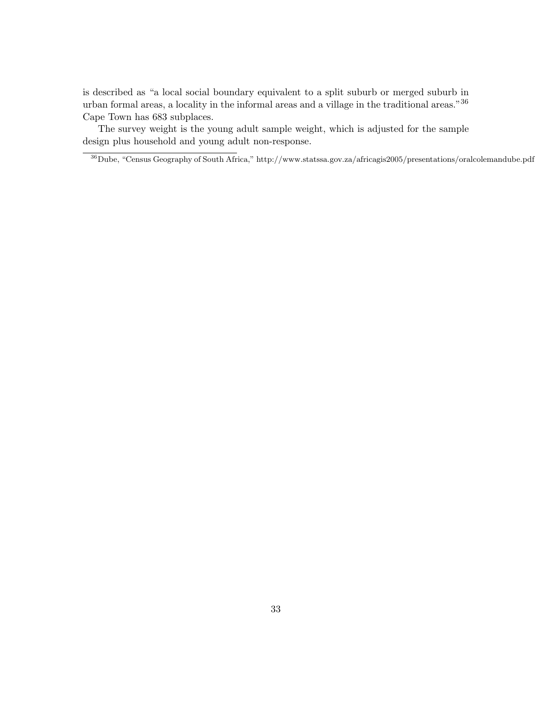is described as "a local social boundary equivalent to a split suburb or merged suburb in urban formal areas, a locality in the informal areas and a village in the traditional areas."<sup>36</sup> Cape Town has 683 subplaces.

The survey weight is the young adult sample weight, which is adjusted for the sample design plus household and young adult non-response.

<sup>36</sup>Dube, "Census Geography of South Africa," http://www.statssa.gov.za/africagis2005/presentations/oralcolemandube.pdf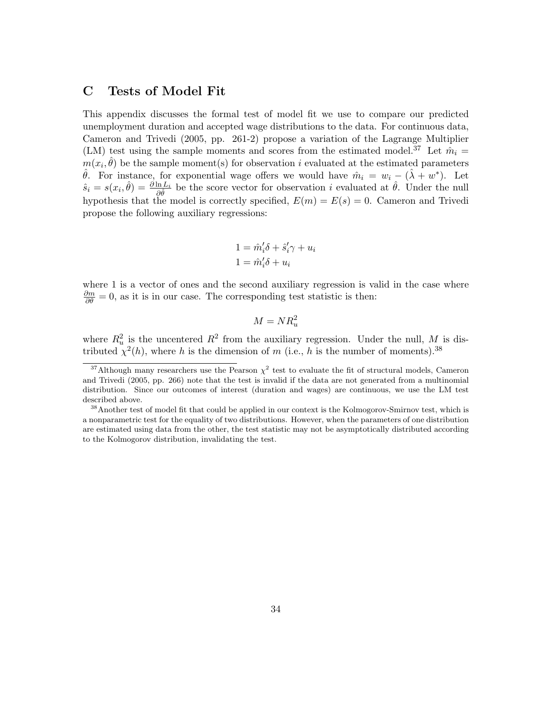## C Tests of Model Fit

This appendix discusses the formal test of model fit we use to compare our predicted unemployment duration and accepted wage distributions to the data. For continuous data, Cameron and Trivedi (2005, pp. 261-2) propose a variation of the Lagrange Multiplier (LM) test using the sample moments and scores from the estimated model.<sup>37</sup> Let  $\hat{m}_i =$  $m(x_i, \hat{\theta})$  be the sample moment(s) for observation i evaluated at the estimated parameters  $\hat{\theta}$ . For instance, for exponential wage offers we would have  $\hat{m}_i = w_i - (\hat{\lambda} + w^*)$ . Let  $\hat{s}_i = s(x_i, \hat{\theta}) = \frac{\partial \ln L_i}{\partial \hat{\theta}}$  be the score vector for observation i evaluated at  $\hat{\theta}$ . Under the null hypothesis that the model is correctly specified,  $E(m) = E(s) = 0$ . Cameron and Trivedi propose the following auxiliary regressions:

$$
1 = \hat{m}'_i \delta + \hat{s}'_i \gamma + u_i
$$
  

$$
1 = \hat{m}'_i \delta + u_i
$$

where 1 is a vector of ones and the second auxiliary regression is valid in the case where  $\frac{\partial m}{\partial \theta} = 0$ , as it is in our case. The corresponding test statistic is then:

$$
M = NR_u^2
$$

where  $R_u^2$  is the uncentered  $R^2$  from the auxiliary regression. Under the null, M is distributed  $\chi^2(h)$ , where h is the dimension of m (i.e., h is the number of moments).<sup>38</sup>

<sup>&</sup>lt;sup>37</sup>Although many researchers use the Pearson  $\chi^2$  test to evaluate the fit of structural models, Cameron and Trivedi (2005, pp. 266) note that the test is invalid if the data are not generated from a multinomial distribution. Since our outcomes of interest (duration and wages) are continuous, we use the LM test described above.

<sup>&</sup>lt;sup>38</sup>Another test of model fit that could be applied in our context is the Kolmogorov-Smirnov test, which is a nonparametric test for the equality of two distributions. However, when the parameters of one distribution are estimated using data from the other, the test statistic may not be asymptotically distributed according to the Kolmogorov distribution, invalidating the test.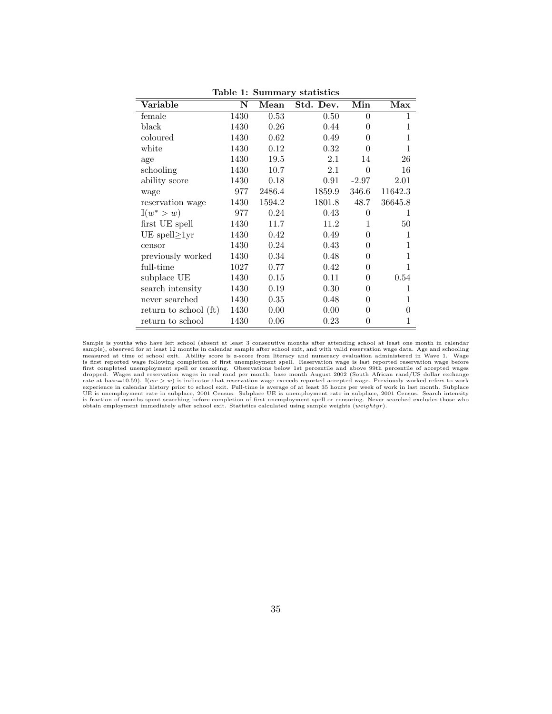| Variable              | N    | Mean   | Std. Dev. | Min      | Max     |
|-----------------------|------|--------|-----------|----------|---------|
| female                | 1430 | 0.53   | 0.50      | $\theta$ | 1       |
| black                 | 1430 | 0.26   | 0.44      | 0        | 1       |
| coloured              | 1430 | 0.62   | 0.49      | 0        | 1       |
| white                 | 1430 | 0.12   | 0.32      | 0        | 1       |
| age                   | 1430 | 19.5   | 2.1       | 14       | 26      |
| schooling             | 1430 | 10.7   | $2.1\,$   | $\Omega$ | 16      |
| ability score         | 1430 | 0.18   | 0.91      | $-2.97$  | 2.01    |
| wage                  | 977  | 2486.4 | 1859.9    | 346.6    | 11642.3 |
| reservation wage      | 1430 | 1594.2 | 1801.8    | 48.7     | 36645.8 |
| $\mathbb{I}(w^* > w)$ | 977  | 0.24   | 0.43      | 0        | 1       |
| first UE spell        | 1430 | 11.7   | 11.2      | 1        | 50      |
| UE spell $\geq 1$ yr  | 1430 | 0.42   | 0.49      | 0        | 1       |
| censor                | 1430 | 0.24   | 0.43      | 0        | 1       |
| previously worked     | 1430 | 0.34   | 0.48      | 0        | 1       |
| full-time             | 1027 | 0.77   | 0.42      | 0        | 1       |
| subplace UE           | 1430 | 0.15   | 0.11      | $\theta$ | 0.54    |
| search intensity      | 1430 | 0.19   | 0.30      | 0        | 1       |
| never searched        | 1430 | 0.35   | 0.48      | 0        | 1       |
| return to school (ft) | 1430 | 0.00   | 0.00      | 0        | 0       |
| return to school      | 1430 | 0.06   | 0.23      | 0        | 1       |

Table 1: Summary statistics

Sample is youths who have left school (absent at least 3 consecutive months after attending school at least one month in calendar sample), observed for at least 12 months in calendar sample after school exit, and with valid reservation wage data. Age and schooling measured at time of school exit. Ability score from literary and numeracy evaluation ad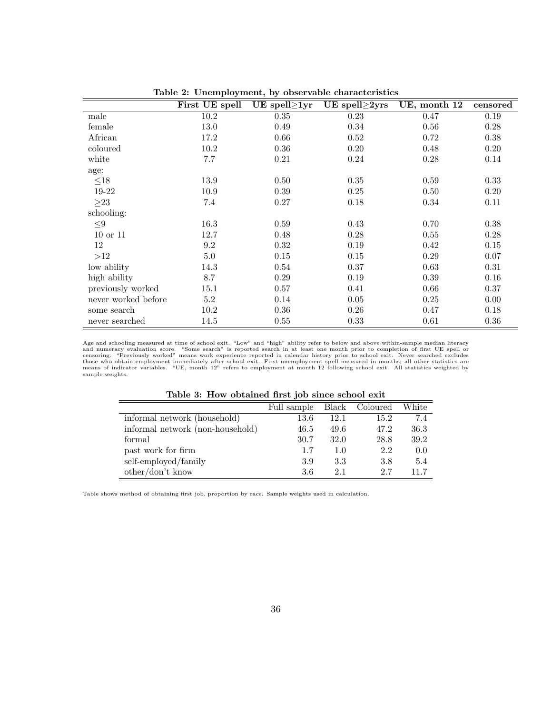|                     | First UE spell | UE spell $\geq$ 1yr | UE spell $\geq$ 2yrs | UE, month 12 | censored |
|---------------------|----------------|---------------------|----------------------|--------------|----------|
| male                | 10.2           | 0.35                | 0.23                 | 0.47         | 0.19     |
| female              | 13.0           | 0.49                | 0.34                 | 0.56         | 0.28     |
| African             | 17.2           | 0.66                | 0.52                 | 0.72         | 0.38     |
| coloured            | 10.2           | 0.36                | 0.20                 | 0.48         | 0.20     |
| white               | 7.7            | 0.21                | 0.24                 | 0.28         | 0.14     |
| age:                |                |                     |                      |              |          |
| ${\leq}18$          | 13.9           | 0.50                | 0.35                 | 0.59         | 0.33     |
| 19-22               | 10.9           | 0.39                | 0.25                 | 0.50         | 0.20     |
| $\geq$ 23           | 7.4            | 0.27                | 0.18                 | 0.34         | 0.11     |
| schooling:          |                |                     |                      |              |          |
| ${\leq}9$           | 16.3           | 0.59                | 0.43                 | 0.70         | 0.38     |
| $10$ or $11$        | 12.7           | 0.48                | 0.28                 | 0.55         | 0.28     |
| 12                  | 9.2            | 0.32                | 0.19                 | 0.42         | 0.15     |
| >12                 | $5.0\,$        | 0.15                | 0.15                 | 0.29         | 0.07     |
| low ability         | 14.3           | 0.54                | 0.37                 | 0.63         | 0.31     |
| high ability        | 8.7            | 0.29                | 0.19                 | $0.39\,$     | 0.16     |
| previously worked   | 15.1           | 0.57                | 0.41                 | 0.66         | 0.37     |
| never worked before | $5.2\,$        | 0.14                | 0.05                 | 0.25         | 0.00     |
| some search         | 10.2           | 0.36                | 0.26                 | 0.47         | 0.18     |
| never searched      | 14.5           | 0.55                | 0.33                 | 0.61         | 0.36     |

Table 2: Unemployment, by observable characteristics

Age and schooling measured at time of school exit. "Low" and "high" ability refer to below and above within-sample median literacy<br>and numerary evaluation score. "Some search" is reported search in at least one month prior

| Table 3: How obtained first job since school exit |  |  |  |  |  |  |  |
|---------------------------------------------------|--|--|--|--|--|--|--|
|---------------------------------------------------|--|--|--|--|--|--|--|

| <u>rasis of iron sseamed meet jos sintes sentoor eint</u> |             |       |          |       |  |  |  |
|-----------------------------------------------------------|-------------|-------|----------|-------|--|--|--|
|                                                           | Full sample | Black | Coloured | White |  |  |  |
| informal network (household)                              | $13.6\,$    | 12.1  | 15.2     | 7.4   |  |  |  |
| informal network (non-household)                          | 46.5        | 49.6  | 47.2     | 36.3  |  |  |  |
| formal                                                    | 30.7        | 32.0  | 28.8     | 39.2  |  |  |  |
| past work for firm                                        | 1.7         | 1.0   | 2.2      | 0.0   |  |  |  |
| self-employed/family                                      | 3.9         | 3.3   | 3.8      | 5.4   |  |  |  |
| $other/don't$ know                                        | 3.6         | 2.1   | 2.7      | 11.7  |  |  |  |

Table shows method of obtaining first job, proportion by race. Sample weights used in calculation.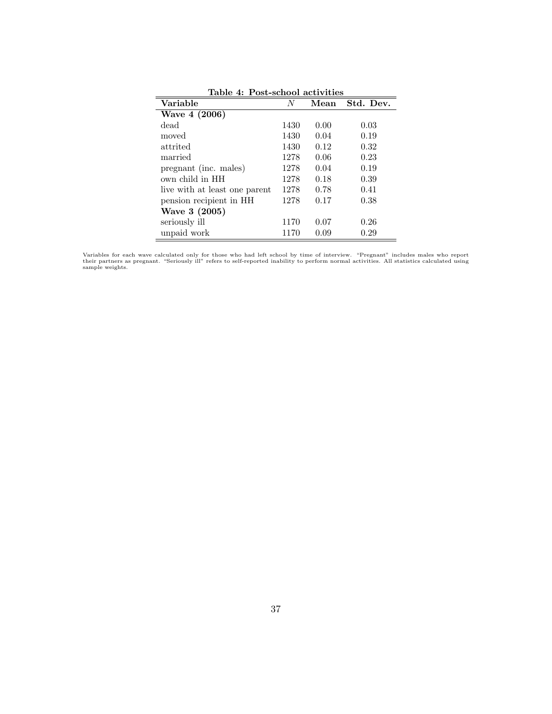| Variable                      | N    | Mean | Std. Dev. |
|-------------------------------|------|------|-----------|
| Wave 4 (2006)                 |      |      |           |
| dead                          | 1430 | 0.00 | 0.03      |
| moved                         | 1430 | 0.04 | 0.19      |
| attrited                      | 1430 | 0.12 | 0.32      |
| married                       | 1278 | 0.06 | 0.23      |
| pregnant (inc. males)         | 1278 | 0.04 | 0.19      |
| own child in HH               | 1278 | 0.18 | 0.39      |
| live with at least one parent | 1278 | 0.78 | 0.41      |
| pension recipient in HH       | 1278 | 0.17 | 0.38      |
| Wave 3 (2005)                 |      |      |           |
| seriously ill                 | 1170 | 0.07 | 0.26      |
| unpaid work                   | 1170 | 0.09 | 0.29      |

Table 4: Post-school activities

Variables for each wave calculated only for those who had left school by time of interview. "Pregnant" includes males who report<br>their partners as pregnant. "Seriously ill" refers to self-reported inability to perform norm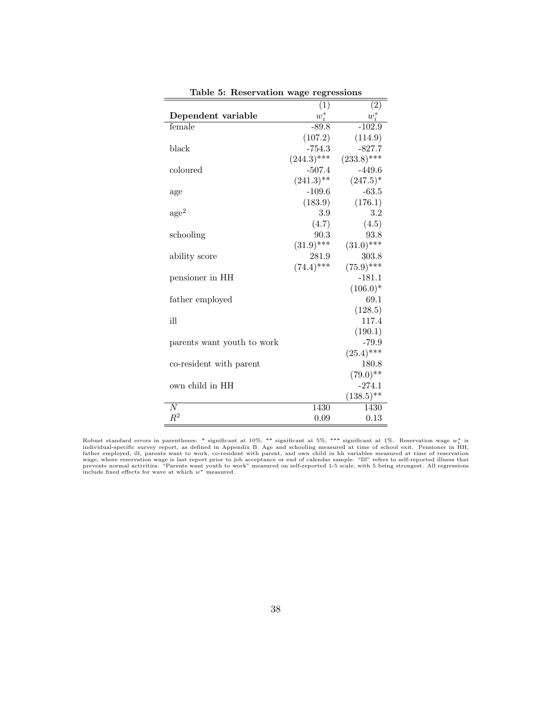|                            | (1)           | (2)           |
|----------------------------|---------------|---------------|
| Dependent variable         | $w_i^*$       | $w_i^*$       |
| female                     | $-89.8$       | $-102.9$      |
|                            | (107.2)       | (114.9)       |
| black                      | $-754.3$      | $-827.7$      |
|                            | $(244.3)$ *** | $(233.8)$ *** |
| coloured                   | $-507.4$      | $-449.6$      |
|                            | $(241.3)$ **  | $(247.5)^*$   |
| age                        | $-109.6$      | $-63.5$       |
|                            | (183.9)       | (176.1)       |
| $\rm age^2$                | 3.9           | 3.2           |
|                            | (4.7)         | (4.5)         |
| schooling                  | 90.3          | 93.8          |
|                            | $(31.9)$ ***  | $(31.0)$ ***  |
| ability score              | 281.9         | 303.8         |
|                            | $(74.4)$ ***  | $(75.9)$ ***  |
| pensioner in HH            |               | $-181.1$      |
|                            |               | $(106.0)^*$   |
| father employed            |               | 69.1          |
|                            |               | (128.5)       |
| ill                        |               | 117.4         |
|                            |               | (190.1)       |
| parents want youth to work |               | $-79.9$       |
|                            |               | $(25.4)$ ***  |
| co-resident with parent    |               | 180.8         |
|                            |               | $(79.0)$ **   |
| own child in HH            |               | $-274.1$      |
|                            |               | $(138.5)$ **  |
| $\overline{N}$             | 1430          | 1430          |
| $R^2$                      | 0.09          | 0.13          |

Table 5: Reservation wage regressions

Robust standard errors in parentheses: \* significant at 10%; \*\* significant at 5%; \*\*\* significant at 1%. Reservation wage  $w_i^*$  is<br>individual-specific survey report, as defined in Appendix B. Age and schooling measured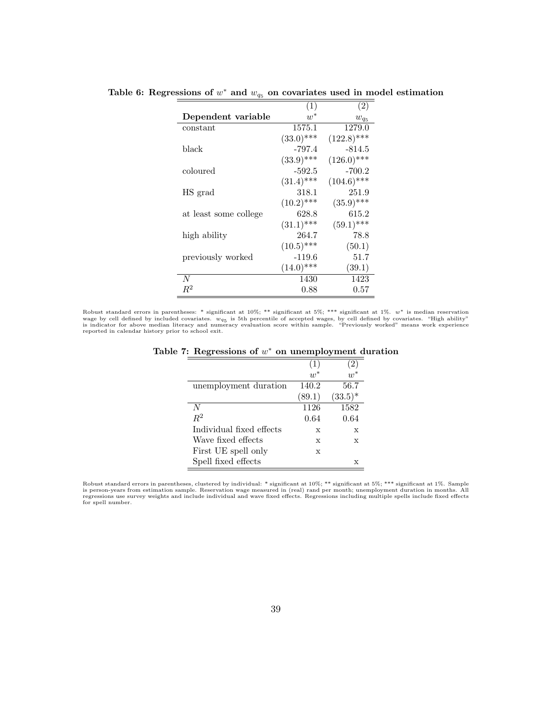|                       | (1)          | (2)           |
|-----------------------|--------------|---------------|
| Dependent variable    | $w^*$        | $w_{q_5}$     |
| constant              | 1575.1       | 1279.0        |
|                       | $(33.0)$ *** | $(122.8)$ *** |
| black                 | $-797.4$     | -814.5        |
|                       | $(33.9)$ *** | $(126.0)$ *** |
| coloured              | $-592.5$     | $-700.2$      |
|                       | $(31.4)$ *** | $(104.6)$ *** |
| HS grad               | 318.1        | 251.9         |
|                       | $(10.2)$ *** | $(35.9)$ ***  |
| at least some college | 628.8        | 615.2         |
|                       | $(31.1)$ *** | $(59.1)$ ***  |
| high ability          | 264.7        | 78.8          |
|                       | $(10.5)$ *** | (50.1)        |
| previously worked     | $-119.6$     | 51.7          |
|                       | $(14.0)$ *** | (39.1)        |
| N                     | 1430         | 1423          |
| $R^2$                 | 0.88         | 0.57          |

Table 6: Regressions of  $w^*$  and  $w_{q_5}$  on covariates used in model estimation

Robust standard errors in parentheses: \* significant at  $10\%$ ; \*\* significant at  $5\%$ ; \*\*\* significant at  $1\%$ .  $w^*$  is median reservation wage by cell defined by included covariates.  $w_{q5}$  is 5th percentile of accepted wages, by cell defined by covariates. "High ability"<br>is indicator for above median literacy and numeracy evaluation score within sample. "

|                          | $\overline{w}^*$ | $\overline{w}^*$ |
|--------------------------|------------------|------------------|
| unemployment duration    | 140.2            | 56.7             |
|                          | (89.1)           | $(33.5)^*$       |
| N                        | 1126             | 1582             |
| $R^2$                    | 0.64             | 0.64             |
| Individual fixed effects | X                | X                |
| Wave fixed effects       | X                | X                |
| First UE spell only      | X                |                  |
| Spell fixed effects      |                  | х                |

Table 7: Regressions of  $w^*$  on unemployment duration

Robust standard errors in parentheses, clustered by individual: \* significant at 10%; \*\* significant at 5%; \*\*\* significant at 1%. Sample is person-years from estimation sample. Reservation wage measured in (real) rand per month; unemployment duration in months. All<br>regressions use survey weights and include individual and wave fixed effects. Regressions inc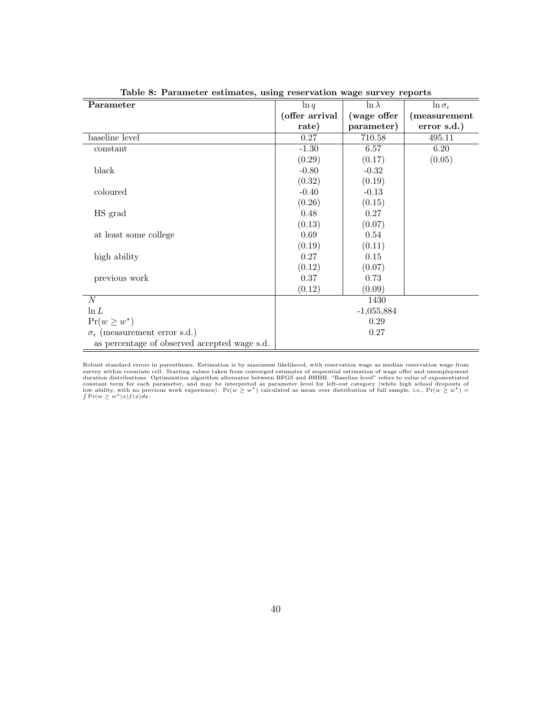| $\alpha$ , $\alpha$ , $\alpha$ , $\alpha$ , $\alpha$ , $\alpha$ , $\alpha$ , $\alpha$ , $\alpha$ , $\alpha$ , $\alpha$ , $\alpha$ , $\alpha$ , $\alpha$ , $\alpha$ , $\alpha$ , $\alpha$ , $\alpha$ , $\alpha$ , $\alpha$ , $\alpha$ , $\alpha$ , $\alpha$ , $\alpha$ , $\alpha$ , $\alpha$ , $\alpha$ , $\alpha$ , $\alpha$ , $\alpha$ , $\alpha$ , $\alpha$ , $\alpha$ , $\alpha$ , $\alpha$ , $\alpha$ , $\alpha$ , |                |               |                         |
|------------------------------------------------------------------------------------------------------------------------------------------------------------------------------------------------------------------------------------------------------------------------------------------------------------------------------------------------------------------------------------------------------------------------|----------------|---------------|-------------------------|
| Parameter                                                                                                                                                                                                                                                                                                                                                                                                              | $\ln q$        | $\ln \lambda$ | $\ln \sigma_{\epsilon}$ |
|                                                                                                                                                                                                                                                                                                                                                                                                                        | (offer arrival | (wage offer   | (measurement            |
|                                                                                                                                                                                                                                                                                                                                                                                                                        | rate)          | parameter)    | error s.d.)             |
| baseline level                                                                                                                                                                                                                                                                                                                                                                                                         | 0.27           | 710.58        | 495.11                  |
| constant                                                                                                                                                                                                                                                                                                                                                                                                               | $-1.30$        | 6.57          | 6.20                    |
|                                                                                                                                                                                                                                                                                                                                                                                                                        | (0.29)         | (0.17)        | (0.05)                  |
| black                                                                                                                                                                                                                                                                                                                                                                                                                  | $-0.80$        | $-0.32$       |                         |
|                                                                                                                                                                                                                                                                                                                                                                                                                        | (0.32)         | (0.19)        |                         |
| coloured                                                                                                                                                                                                                                                                                                                                                                                                               | $-0.40$        | $-0.13$       |                         |
|                                                                                                                                                                                                                                                                                                                                                                                                                        | (0.26)         | (0.15)        |                         |
| HS grad                                                                                                                                                                                                                                                                                                                                                                                                                | 0.48           | 0.27          |                         |
|                                                                                                                                                                                                                                                                                                                                                                                                                        | (0.13)         | (0.07)        |                         |
| at least some college                                                                                                                                                                                                                                                                                                                                                                                                  | 0.69           | 0.54          |                         |
|                                                                                                                                                                                                                                                                                                                                                                                                                        | (0.19)         | (0.11)        |                         |
| high ability                                                                                                                                                                                                                                                                                                                                                                                                           | 0.27           | 0.15          |                         |
|                                                                                                                                                                                                                                                                                                                                                                                                                        | (0.12)         | (0.07)        |                         |
| previous work                                                                                                                                                                                                                                                                                                                                                                                                          | 0.37           | 0.73          |                         |
|                                                                                                                                                                                                                                                                                                                                                                                                                        | (0.12)         | (0.09)        |                         |
| N                                                                                                                                                                                                                                                                                                                                                                                                                      |                | 1430          |                         |
| $\ln L$                                                                                                                                                                                                                                                                                                                                                                                                                |                | $-1,055,884$  |                         |
| $Pr(w \geq w^*)$                                                                                                                                                                                                                                                                                                                                                                                                       |                | 0.29          |                         |
| $\sigma_{\epsilon}$ (measurement error s.d.)                                                                                                                                                                                                                                                                                                                                                                           |                | 0.27          |                         |
| as percentage of observed accepted wage s.d.                                                                                                                                                                                                                                                                                                                                                                           |                |               |                         |

Table 8: Parameter estimates, using reservation wage survey reports

Robust standard errors in parentheses. Estimation is by maximum likelihood, with reservation wage as median reservation wage from<br>survey within covariate cell. Starting values taken from converged estimates of sequential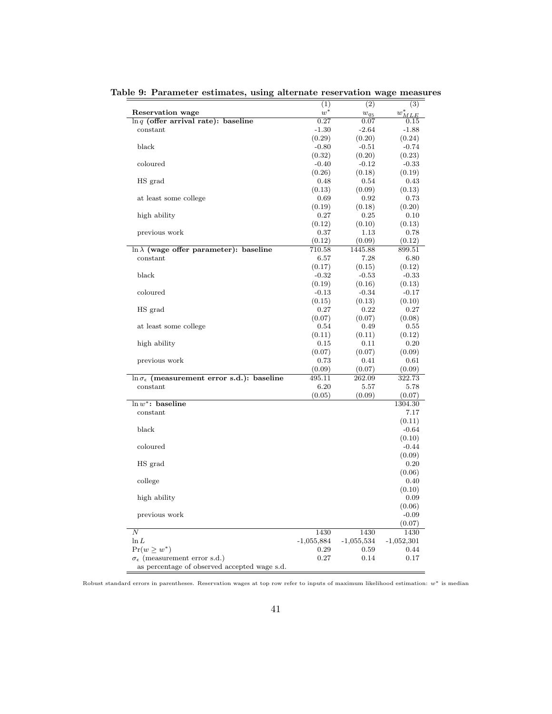|                                                            | (1)          | (2)          | (3)          |
|------------------------------------------------------------|--------------|--------------|--------------|
| Reservation wage                                           | $w^*$        | $w_{q_5}$    | $w^*_{MLE}$  |
| $\ln q$ (offer arrival rate): baseline                     | 0.27         | $_{0.07}$    | 0.15         |
| constant                                                   | $-1.30$      | $-2.64$      | $-1.88$      |
|                                                            | (0.29)       | (0.20)       | (0.24)       |
| black                                                      | $-0.80$      | $-0.51$      | $-0.74$      |
|                                                            | (0.32)       | (0.20)       | (0.23)       |
| coloured                                                   | $-0.40$      | $-0.12$      | $-0.33$      |
|                                                            | (0.26)       | (0.18)       | (0.19)       |
| HS grad                                                    | 0.48         | 0.54         | 0.43         |
|                                                            | (0.13)       | (0.09)       | (0.13)       |
| at least some college                                      | 0.69         | 0.92         | 0.73         |
|                                                            | (0.19)       | (0.18)       | (0.20)       |
| high ability                                               | 0.27         | 0.25         | 0.10         |
|                                                            | (0.12)       | (0.10)       | (0.13)       |
| previous work                                              | 0.37         | 1.13         | 0.78         |
|                                                            | (0.12)       | (0.09)       | (0.12)       |
| $\ln \lambda$ (wage offer parameter): baseline             | 710.58       | 1445.88      | 899.51       |
| constant                                                   | 6.57         | 7.28         | 6.80         |
|                                                            | (0.17)       | (0.15)       | (0.12)       |
| black                                                      | $-0.32$      | $-0.53$      | $-0.33$      |
|                                                            | (0.19)       | (0.16)       | (0.13)       |
| coloured                                                   | $-0.13$      | $-0.34$      | $-0.17$      |
|                                                            | (0.15)       | (0.13)       | (0.10)       |
| HS grad                                                    | 0.27         | 0.22         | 0.27         |
|                                                            | (0.07)       | (0.07)       | (0.08)       |
| at least some college                                      | 0.54         | 0.49         | 0.55         |
|                                                            | (0.11)       | (0.11)       | (0.12)       |
| high ability                                               | 0.15         | 0.11         | 0.20         |
|                                                            | (0.07)       | (0.07)       | (0.09)       |
| previous work                                              | 0.73         | 0.41         | 0.61         |
|                                                            | (0.09)       | (0.07)       | (0.09)       |
| $\ln \sigma_{\epsilon}$ (measurement error s.d.): baseline | 495.11       | 262.09       | 322.73       |
| constant                                                   | 6.20         | $_{5.57}$    | 5.78         |
|                                                            | (0.05)       | (0.09)       | (0.07)       |
| $\ln w^*$ : baseline                                       |              |              | 1304.30      |
| constant                                                   |              |              | 7.17         |
|                                                            |              |              | (0.11)       |
| black                                                      |              |              | $-0.64$      |
|                                                            |              |              | (0.10)       |
| coloured                                                   |              |              | $-0.44$      |
|                                                            |              |              | (0.09)       |
| HS grad                                                    |              |              | 0.20         |
|                                                            |              |              | (0.06)       |
| college                                                    |              |              | 0.40         |
|                                                            |              |              | (0.10)       |
| high ability                                               |              |              | 0.09         |
|                                                            |              |              | (0.06)       |
| previous work                                              |              |              | $-0.09$      |
|                                                            |              |              | (0.07)       |
| Ν                                                          | 1430         | 1430         | 1430         |
| $\ln L$                                                    | $-1,055,884$ | $-1,055,534$ | $-1,052,301$ |
| $Pr(w \geq w^*)$                                           | 0.29         | 0.59         | 0.44         |
| $\sigma_{\epsilon}$ (measurement error s.d.)               | 0.27         | 0.14         | 0.17         |
| as percentage of observed accepted wage s.d.               |              |              |              |

Table 9: Parameter estimates, using alternate reservation wage measures

Robust standard errors in parentheses. Reservation wages at top row refer to inputs of maximum likelihood estimation: w<sup>∗</sup> is median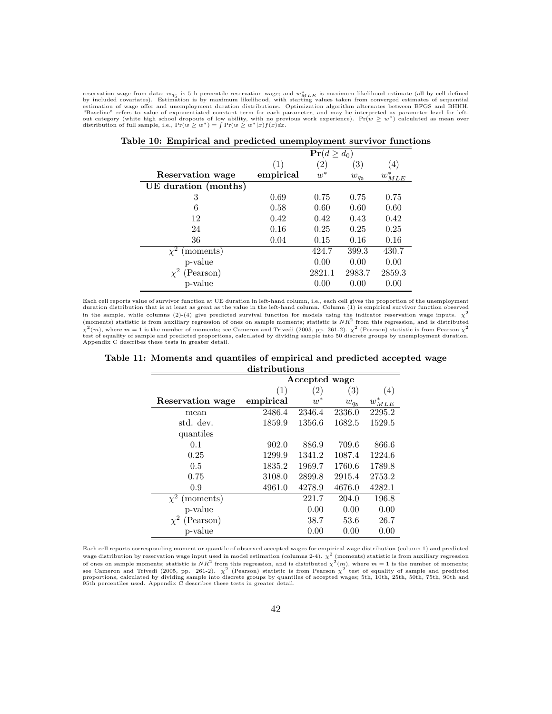reservation wage from data;  $w_{q5}$  is 5th percentile reservation wage; and  $w_{MLE}^{*}$  is maximum likelihood estimate (all by cell defined<br>by included covariates). Estimation is by maximum likelihood, with starting values out category (white high school dropouts of low ability, with no previous work experience). Pr( $w \geq w^*$ ) calculated as mean over distribution of full sample, i.e., Pr( $w \geq w^*$ ) =  $\int Pr(w \geq w^*|x)f(x)dx$ .

|                      | $\Pr(d \geq d_0)$ |                   |           |                  |  |
|----------------------|-------------------|-------------------|-----------|------------------|--|
|                      | (1)               | $\left( 2\right)$ | (3)       | $\left(4\right)$ |  |
| Reservation wage     | empirical         | $w^*$             | $w_{q_5}$ | $w^*_{MLE}$      |  |
| UE duration (months) |                   |                   |           |                  |  |
| 3                    | 0.69              | 0.75              | 0.75      | 0.75             |  |
| 6                    | 0.58              | 0.60              | 0.60      | 0.60             |  |
| 12                   | 0.42              | 0.42              | 0.43      | 0.42             |  |
| 24                   | 0.16              | 0.25              | 0.25      | 0.25             |  |
| 36                   | 0.04              | 0.15              | 0.16      | 0.16             |  |
| (moments)            |                   | 424.7             | 399.3     | 430.7            |  |
| p-value              |                   | 0.00              | 0.00      | 0.00             |  |
| (Pearson)            |                   | 2821.1            | 2983.7    | 2859.3           |  |
| p-value              |                   | 0.00              | 0.00      | 0.00             |  |

|  |  | Table 10: Empirical and predicted unemployment survivor functions |  |
|--|--|-------------------------------------------------------------------|--|
|  |  |                                                                   |  |
|  |  |                                                                   |  |
|  |  |                                                                   |  |

Each cell reports value of survivor function at UE duration in left-hand column, i.e., each cell gives the proportion of the unemployment<br>duration distribution that is at least as great as the value in the left-hand column in the sample, while columns (2)-(4) give predicted survival function for models using the indicator reservation wage inputs.  $\chi^2$ (moments) statistic is from auxiliary regression of ones on sample moments; statistic is  $NR^2$  from this regression, and is distributed  $\chi^2(m)$ , where  $m=1$  is the number of moments; see Cameron and Trivedi (2005, pp. 261-2).  $\chi^2$  (Pearson) statistic is from Pearson  $\chi^2$ test of equality of sample and predicted proportions, calculated by dividing sample into 50 discrete groups by unemployment duration. Appendix C describes these tests in greater detail.

| Table 11: Moments and quantiles of empirical and predicted accepted wage |  |  |  |  |  |  |  |  |  |
|--------------------------------------------------------------------------|--|--|--|--|--|--|--|--|--|
| distributions                                                            |  |  |  |  |  |  |  |  |  |

|                       | Accepted wage |                   |                   |             |  |  |
|-----------------------|---------------|-------------------|-------------------|-------------|--|--|
|                       | (1)           | $\left( 2\right)$ | $\left( 3\right)$ | (4)         |  |  |
| Reservation wage      | empirical     | $w^*$             | $w_{q_5}$         | $w^*_{MLE}$ |  |  |
| mean                  | 2486.4        | 2346.4            | 2336.0            | 2295.2      |  |  |
| std. dev.             | 1859.9        | 1356.6            | 1682.5            | 1529.5      |  |  |
| quantiles             |               |                   |                   |             |  |  |
| 0.1                   | 902.0         | 886.9             | 709.6             | 866.6       |  |  |
| 0.25                  | 1299.9        | 1341.2            | 1087.4            | 1224.6      |  |  |
| 0.5                   | 1835.2        | 1969.7            | 1760.6            | 1789.8      |  |  |
| 0.75                  | 3108.0        | 2899.8            | 2915.4            | 2753.2      |  |  |
| 0.9                   | 4961.0        | 4278.9            | 4676.0            | 4282.1      |  |  |
| (moments)<br>$\chi^2$ |               | 221.7             | 204.0             | 196.8       |  |  |
| p-value               |               | 0.00              | 0.00              | 0.00        |  |  |
| $\chi^2$<br>(Pearson) |               | 38.7              | 53.6              | 26.7        |  |  |
| p-value               |               | 0.00              | 0.00              | 0.00        |  |  |

Each cell reports corresponding moment or quantile of observed accepted wages for empirical wage distribution (column 1) and predicted wage distribution by reservation wage input used in model estimation (columns 2-4).  $\chi^2$  (moments) statistic is from auxiliary regression of ones on sample moments; statistic is  $NR^2$  from this regression, and is distributed  $\chi^2(m)$ , where  $m=1$  is the number of moments; see Cameron and Trivedi (2005, pp. 261-2).  $\chi^2$  (Pearson) statistic is from Pearson  $\chi^2$  test of equality of sample and predicted<br>proportions, calculated by dividing sample into discrete groups by quantiles of accepte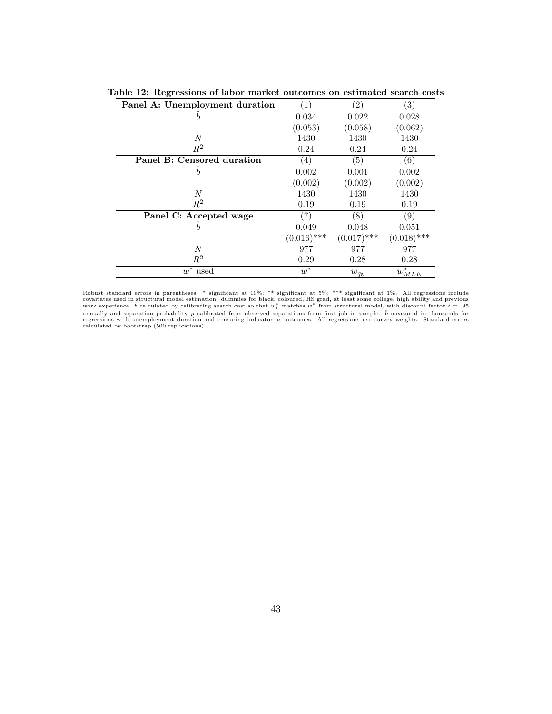| Panel A: Unemployment duration | $\left( 1\right)$ | $\left( 2\right)$ | $\left( 3\right)$ |
|--------------------------------|-------------------|-------------------|-------------------|
| b                              | 0.034             | 0.022             | 0.028             |
|                                | (0.053)           | (0.058)           | (0.062)           |
| $\,N$                          | 1430              | 1430              | 1430              |
| $R^2$                          | 0.24              | 0.24              | 0.24              |
| Panel B: Censored duration     | (4)               | (5)               | $\left( 6\right)$ |
| b                              | 0.002             | 0.001             | 0.002             |
|                                | (0.002)           | (0.002)           | (0.002)           |
| N                              | 1430              | 1430              | 1430              |
| $R^2$                          | 0.19              | 0.19              | 0.19              |
| Panel C: Accepted wage         | (7)               | (8)               | $\left( 9\right)$ |
| h                              | 0.049             | 0.048             | 0.051             |
|                                | $(0.016)$ ***     | $(0.017)$ ***     | $(0.018)$ ***     |
| $\boldsymbol{N}$               | 977               | 977               | 977               |
| $\mathbb{R}^2$                 | 0.29              | 0.28              | 0.28              |
| $w^*$ used                     | $w^*$             | $w_{q_5}$         | $w^*_{MLE}$       |

|  |  | Table 12: Regressions of labor market outcomes on estimated search costs |  |
|--|--|--------------------------------------------------------------------------|--|
|  |  |                                                                          |  |

Robust standard errors in parentheses: \* significant at 10%; \*\* significant at 5%; \*\*\* significant at 1%. All regressions include covariates used in structural model estimation: dummies for black, coloured, HS grad, at le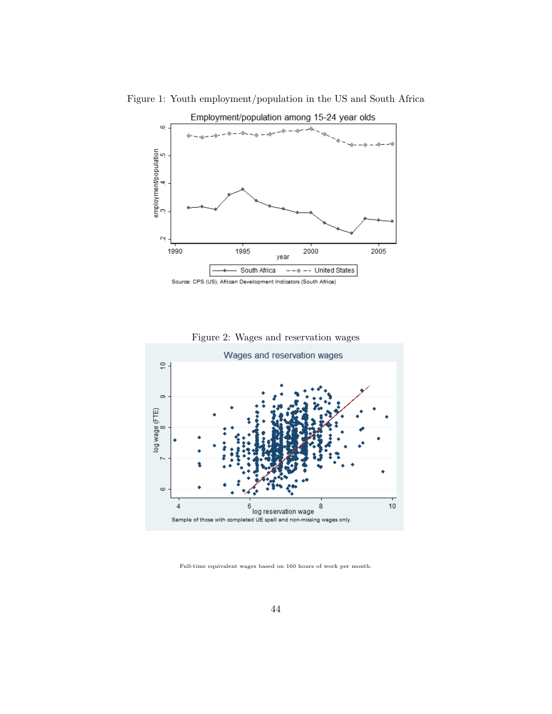

Figure 1: Youth employment/population in the US and South Africa





Full-time equivalent wages based on 160 hours of work per month.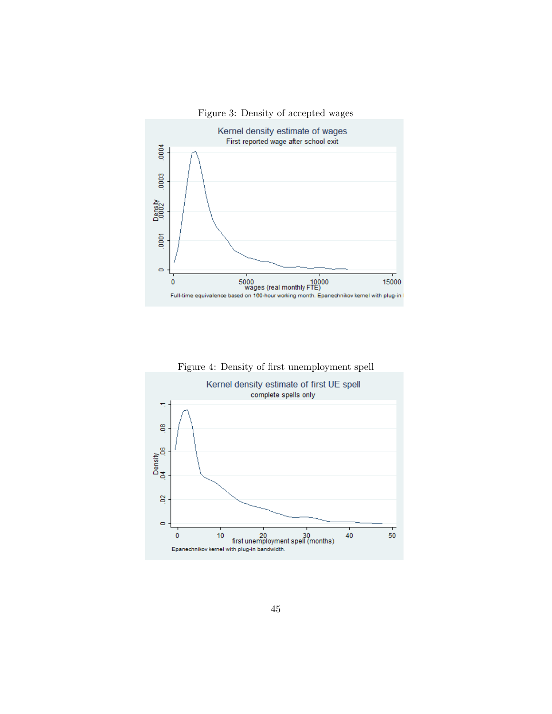



Figure 4: Density of first unemployment spell

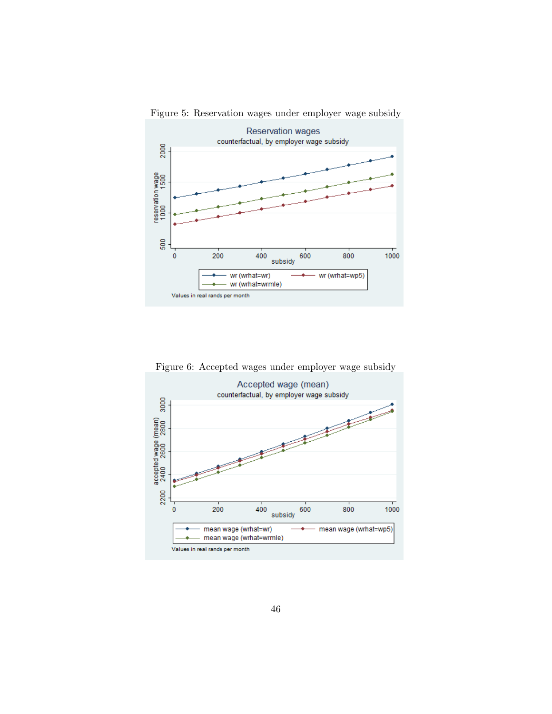

Figure 5: Reservation wages under employer wage subsidy

Figure 6: Accepted wages under employer wage subsidy

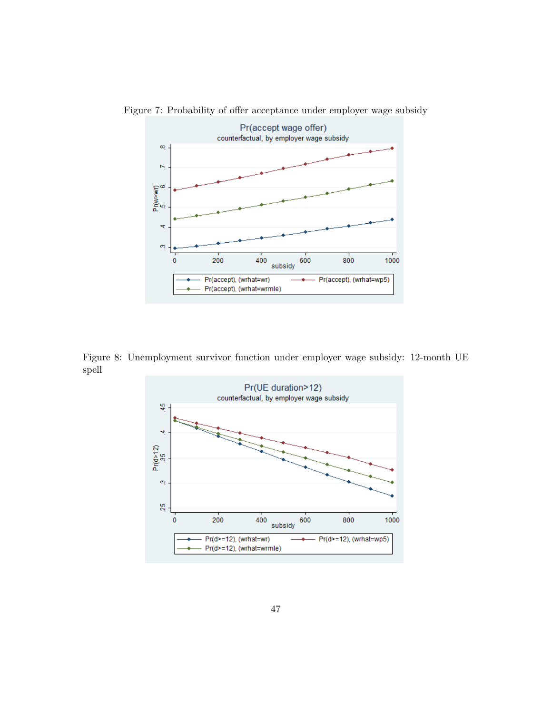

Figure 7: Probability of offer acceptance under employer wage subsidy

Figure 8: Unemployment survivor function under employer wage subsidy: 12-month UE spell